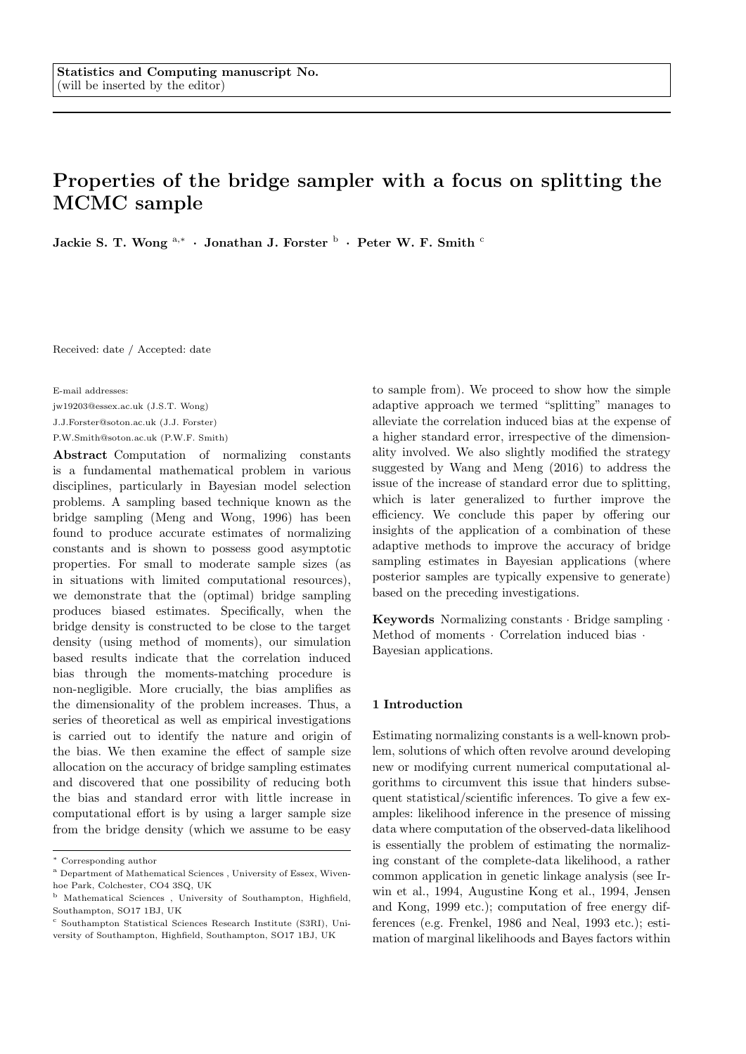# Properties of the bridge sampler with a focus on splitting the MCMC sample

Jackie S. T. Wong  $^{\mathrm{a},\ast}~\cdot~$  Jonathan J. Forster  $^{\mathrm{b}}~\cdot~$  Peter W. F. Smith  $^{\mathrm{c}}$ 

Received: date / Accepted: date

E-mail addresses:

jw19203@essex.ac.uk (J.S.T. Wong)

J.J.Forster@soton.ac.uk (J.J. Forster)

P.W.Smith@soton.ac.uk (P.W.F. Smith)

Abstract Computation of normalizing constants is a fundamental mathematical problem in various disciplines, particularly in Bayesian model selection problems. A sampling based technique known as the bridge sampling (Meng and Wong, 1996) has been found to produce accurate estimates of normalizing constants and is shown to possess good asymptotic properties. For small to moderate sample sizes (as in situations with limited computational resources), we demonstrate that the (optimal) bridge sampling produces biased estimates. Specifically, when the bridge density is constructed to be close to the target density (using method of moments), our simulation based results indicate that the correlation induced bias through the moments-matching procedure is non-negligible. More crucially, the bias amplifies as the dimensionality of the problem increases. Thus, a series of theoretical as well as empirical investigations is carried out to identify the nature and origin of the bias. We then examine the effect of sample size allocation on the accuracy of bridge sampling estimates and discovered that one possibility of reducing both the bias and standard error with little increase in computational effort is by using a larger sample size from the bridge density (which we assume to be easy

to sample from). We proceed to show how the simple adaptive approach we termed "splitting" manages to alleviate the correlation induced bias at the expense of a higher standard error, irrespective of the dimensionality involved. We also slightly modified the strategy suggested by Wang and Meng (2016) to address the issue of the increase of standard error due to splitting, which is later generalized to further improve the efficiency. We conclude this paper by offering our insights of the application of a combination of these adaptive methods to improve the accuracy of bridge sampling estimates in Bayesian applications (where posterior samples are typically expensive to generate) based on the preceding investigations.

Keywords Normalizing constants · Bridge sampling · Method of moments · Correlation induced bias · Bayesian applications.

### 1 Introduction

Estimating normalizing constants is a well-known problem, solutions of which often revolve around developing new or modifying current numerical computational algorithms to circumvent this issue that hinders subsequent statistical/scientific inferences. To give a few examples: likelihood inference in the presence of missing data where computation of the observed-data likelihood is essentially the problem of estimating the normalizing constant of the complete-data likelihood, a rather common application in genetic linkage analysis (see Irwin et al., 1994, Augustine Kong et al., 1994, Jensen and Kong, 1999 etc.); computation of free energy differences (e.g. Frenkel, 1986 and Neal, 1993 etc.); estimation of marginal likelihoods and Bayes factors within

<sup>∗</sup> Corresponding author

 $^{\rm a}$  Department of Mathematical Sciences , University of Essex, Wivenhoe Park, Colchester, CO4 3SQ, UK

<sup>b</sup> Mathematical Sciences , University of Southampton, Highfield, Southampton, SO17 1BJ, UK

<sup>c</sup> Southampton Statistical Sciences Research Institute (S3RI), University of Southampton, Highfield, Southampton, SO17 1BJ, UK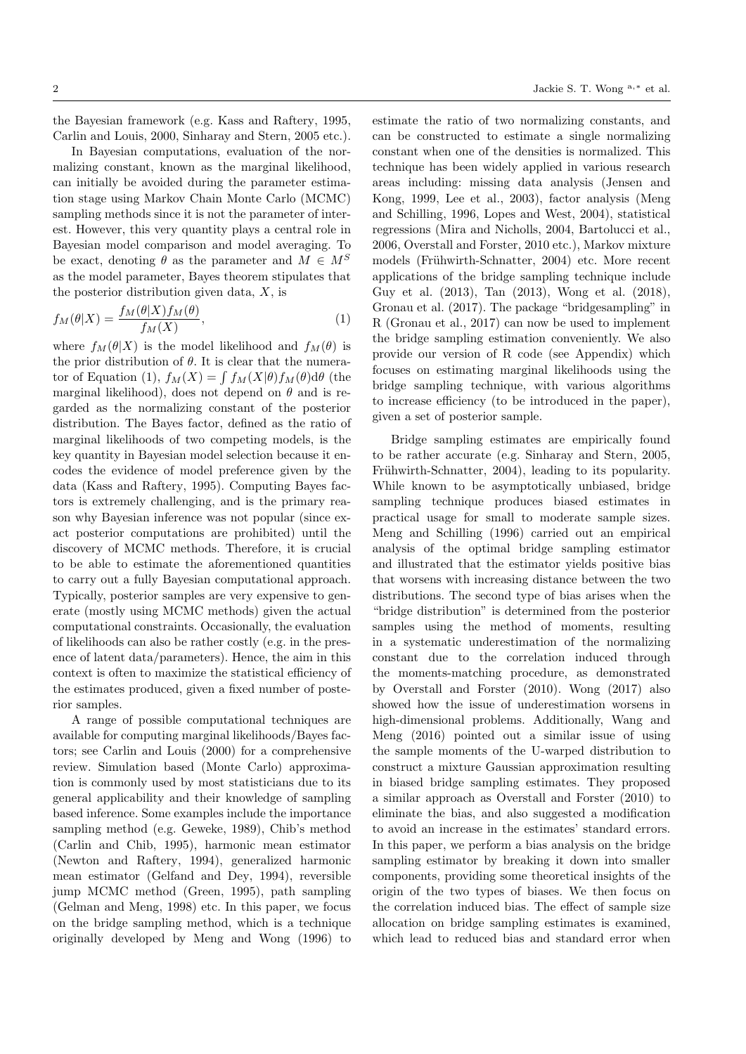the Bayesian framework (e.g. Kass and Raftery, 1995, Carlin and Louis, 2000, Sinharay and Stern, 2005 etc.).

In Bayesian computations, evaluation of the normalizing constant, known as the marginal likelihood, can initially be avoided during the parameter estimation stage using Markov Chain Monte Carlo (MCMC) sampling methods since it is not the parameter of interest. However, this very quantity plays a central role in Bayesian model comparison and model averaging. To be exact, denoting  $\theta$  as the parameter and  $M \in M^S$ as the model parameter, Bayes theorem stipulates that the posterior distribution given data,  $X$ , is

$$
f_M(\theta|X) = \frac{f_M(\theta|X)f_M(\theta)}{f_M(X)},\tag{1}
$$

where  $f_M(\theta|X)$  is the model likelihood and  $f_M(\theta)$  is the prior distribution of  $\theta$ . It is clear that the numerator of Equation (1),  $f_M(X) = \int f_M(X|\theta) f_M(\theta) d\theta$  (the marginal likelihood), does not depend on  $\theta$  and is regarded as the normalizing constant of the posterior distribution. The Bayes factor, defined as the ratio of marginal likelihoods of two competing models, is the key quantity in Bayesian model selection because it encodes the evidence of model preference given by the data (Kass and Raftery, 1995). Computing Bayes factors is extremely challenging, and is the primary reason why Bayesian inference was not popular (since exact posterior computations are prohibited) until the discovery of MCMC methods. Therefore, it is crucial to be able to estimate the aforementioned quantities to carry out a fully Bayesian computational approach. Typically, posterior samples are very expensive to generate (mostly using MCMC methods) given the actual computational constraints. Occasionally, the evaluation of likelihoods can also be rather costly (e.g. in the presence of latent data/parameters). Hence, the aim in this context is often to maximize the statistical efficiency of the estimates produced, given a fixed number of posterior samples.

A range of possible computational techniques are available for computing marginal likelihoods/Bayes factors; see Carlin and Louis (2000) for a comprehensive review. Simulation based (Monte Carlo) approximation is commonly used by most statisticians due to its general applicability and their knowledge of sampling based inference. Some examples include the importance sampling method (e.g. Geweke, 1989), Chib's method (Carlin and Chib, 1995), harmonic mean estimator (Newton and Raftery, 1994), generalized harmonic mean estimator (Gelfand and Dey, 1994), reversible jump MCMC method (Green, 1995), path sampling (Gelman and Meng, 1998) etc. In this paper, we focus on the bridge sampling method, which is a technique originally developed by Meng and Wong (1996) to estimate the ratio of two normalizing constants, and can be constructed to estimate a single normalizing constant when one of the densities is normalized. This technique has been widely applied in various research areas including: missing data analysis (Jensen and Kong, 1999, Lee et al., 2003), factor analysis (Meng and Schilling, 1996, Lopes and West, 2004), statistical regressions (Mira and Nicholls, 2004, Bartolucci et al., 2006, Overstall and Forster, 2010 etc.), Markov mixture models (Frühwirth-Schnatter, 2004) etc. More recent applications of the bridge sampling technique include Guy et al. (2013), Tan (2013), Wong et al. (2018), Gronau et al. (2017). The package "bridgesampling" in R (Gronau et al., 2017) can now be used to implement the bridge sampling estimation conveniently. We also provide our version of R code (see Appendix) which focuses on estimating marginal likelihoods using the bridge sampling technique, with various algorithms to increase efficiency (to be introduced in the paper), given a set of posterior sample.

Bridge sampling estimates are empirically found to be rather accurate (e.g. Sinharay and Stern, 2005, Frühwirth-Schnatter, 2004), leading to its popularity. While known to be asymptotically unbiased, bridge sampling technique produces biased estimates in practical usage for small to moderate sample sizes. Meng and Schilling (1996) carried out an empirical analysis of the optimal bridge sampling estimator and illustrated that the estimator yields positive bias that worsens with increasing distance between the two distributions. The second type of bias arises when the "bridge distribution" is determined from the posterior samples using the method of moments, resulting in a systematic underestimation of the normalizing constant due to the correlation induced through the moments-matching procedure, as demonstrated by Overstall and Forster (2010). Wong (2017) also showed how the issue of underestimation worsens in high-dimensional problems. Additionally, Wang and Meng (2016) pointed out a similar issue of using the sample moments of the U-warped distribution to construct a mixture Gaussian approximation resulting in biased bridge sampling estimates. They proposed a similar approach as Overstall and Forster (2010) to eliminate the bias, and also suggested a modification to avoid an increase in the estimates' standard errors. In this paper, we perform a bias analysis on the bridge sampling estimator by breaking it down into smaller components, providing some theoretical insights of the origin of the two types of biases. We then focus on the correlation induced bias. The effect of sample size allocation on bridge sampling estimates is examined, which lead to reduced bias and standard error when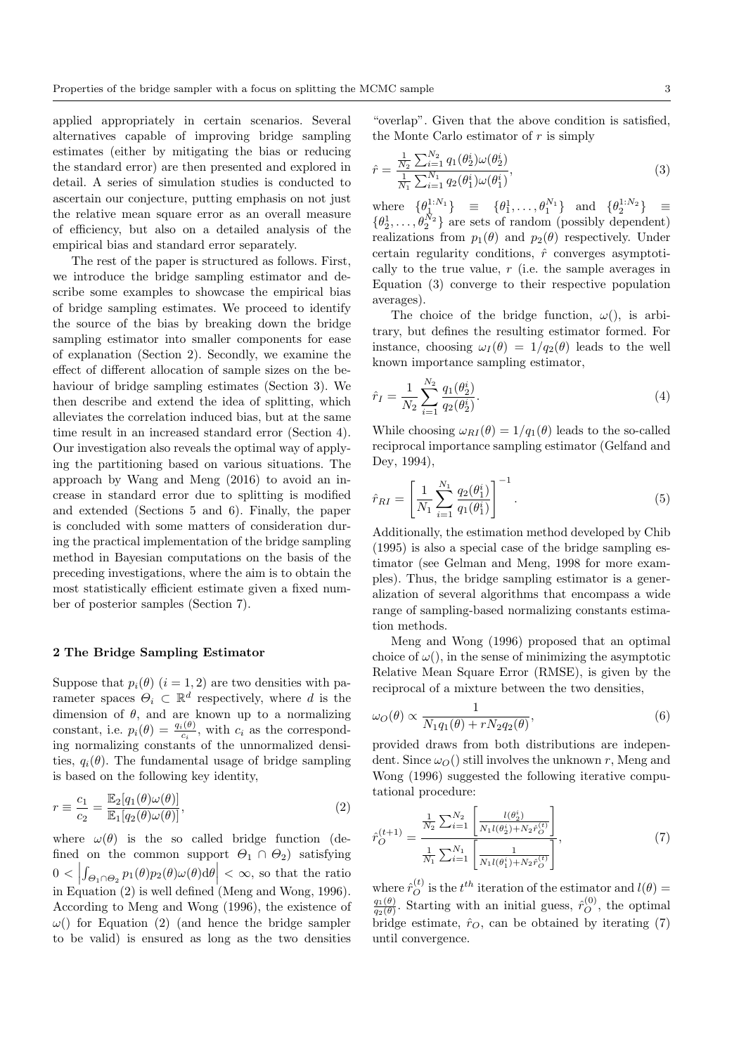applied appropriately in certain scenarios. Several alternatives capable of improving bridge sampling estimates (either by mitigating the bias or reducing the standard error) are then presented and explored in detail. A series of simulation studies is conducted to ascertain our conjecture, putting emphasis on not just the relative mean square error as an overall measure of efficiency, but also on a detailed analysis of the empirical bias and standard error separately.

The rest of the paper is structured as follows. First, we introduce the bridge sampling estimator and describe some examples to showcase the empirical bias of bridge sampling estimates. We proceed to identify the source of the bias by breaking down the bridge sampling estimator into smaller components for ease of explanation (Section 2). Secondly, we examine the effect of different allocation of sample sizes on the behaviour of bridge sampling estimates (Section 3). We then describe and extend the idea of splitting, which alleviates the correlation induced bias, but at the same time result in an increased standard error (Section 4). Our investigation also reveals the optimal way of applying the partitioning based on various situations. The approach by Wang and Meng (2016) to avoid an increase in standard error due to splitting is modified and extended (Sections 5 and 6). Finally, the paper is concluded with some matters of consideration during the practical implementation of the bridge sampling method in Bayesian computations on the basis of the preceding investigations, where the aim is to obtain the most statistically efficient estimate given a fixed number of posterior samples (Section 7).

### 2 The Bridge Sampling Estimator

Suppose that  $p_i(\theta)$   $(i = 1, 2)$  are two densities with parameter spaces  $\Theta_i \subset \mathbb{R}^d$  respectively, where d is the dimension of  $\theta$ , and are known up to a normalizing constant, i.e.  $p_i(\theta) = \frac{q_i(\theta)}{c_i}$ , with  $c_i$  as the corresponding normalizing constants of the unnormalized densities,  $q_i(\theta)$ . The fundamental usage of bridge sampling is based on the following key identity,

$$
r \equiv \frac{c_1}{c_2} = \frac{\mathbb{E}_2[q_1(\theta)\omega(\theta)]}{\mathbb{E}_1[q_2(\theta)\omega(\theta)]},\tag{2}
$$

where  $\omega(\theta)$  is the so called bridge function (defined on the common support  $\Theta_1 \cap \Theta_2$ ) satisfying  $0 < |$  $\int_{\Theta_1 \cap \Theta_2} p_1(\theta) p_2(\theta) \omega(\theta) d\theta \Big| < \infty$ , so that the ratio in Equation (2) is well defined (Meng and Wong, 1996). According to Meng and Wong (1996), the existence of  $\omega$ ) for Equation (2) (and hence the bridge sampler to be valid) is ensured as long as the two densities

"overlap". Given that the above condition is satisfied, the Monte Carlo estimator of  $r$  is simply

$$
\hat{r} = \frac{\frac{1}{N_2} \sum_{i=1}^{N_2} q_1(\theta_2^i)\omega(\theta_2^i)}{\frac{1}{N_1} \sum_{i=1}^{N_1} q_2(\theta_1^i)\omega(\theta_1^i)},
$$
\n(3)

where  $\{\theta_1^{1:N_1}\} \equiv \{\theta_1^1, \ldots, \theta_1^{N_1}\}$  and  $\{\theta_2^{1:N_2}\} \equiv$  $\{\theta_2^1, \ldots, \theta_2^{\bar{N}_2}\}\$ are sets of random (possibly dependent) realizations from  $p_1(\theta)$  and  $p_2(\theta)$  respectively. Under certain regularity conditions,  $\hat{r}$  converges asymptotically to the true value,  $r$  (i.e. the sample averages in Equation (3) converge to their respective population averages).

The choice of the bridge function,  $\omega$ ), is arbitrary, but defines the resulting estimator formed. For instance, choosing  $\omega_I(\theta) = 1/q_2(\theta)$  leads to the well known importance sampling estimator,

$$
\hat{r}_I = \frac{1}{N_2} \sum_{i=1}^{N_2} \frac{q_1(\theta_2^i)}{q_2(\theta_2^i)}.
$$
\n(4)

While choosing  $\omega_{RI}(\theta) = 1/q_1(\theta)$  leads to the so-called reciprocal importance sampling estimator (Gelfand and Dey, 1994),

$$
\hat{r}_{RI} = \left[\frac{1}{N_1} \sum_{i=1}^{N_1} \frac{q_2(\theta_1^i)}{q_1(\theta_1^i)}\right]^{-1}.
$$
\n(5)

Additionally, the estimation method developed by Chib (1995) is also a special case of the bridge sampling estimator (see Gelman and Meng, 1998 for more examples). Thus, the bridge sampling estimator is a generalization of several algorithms that encompass a wide range of sampling-based normalizing constants estimation methods.

Meng and Wong (1996) proposed that an optimal choice of  $\omega$ ), in the sense of minimizing the asymptotic Relative Mean Square Error (RMSE), is given by the reciprocal of a mixture between the two densities,

$$
\omega_O(\theta) \propto \frac{1}{N_1 q_1(\theta) + r N_2 q_2(\theta)},\tag{6}
$$

provided draws from both distributions are independent. Since  $\omega_O()$  still involves the unknown r, Meng and Wong (1996) suggested the following iterative computational procedure:

$$
\hat{r}_O^{(t+1)} = \frac{\frac{1}{N_2} \sum_{i=1}^{N_2} \left[ \frac{l(\theta_2^i)}{N_1 l(\theta_2^i) + N_2 \hat{r}_O^{(t)}} \right]}{\frac{1}{N_1} \sum_{i=1}^{N_1} \left[ \frac{1}{N_1 l(\theta_1^i) + N_2 \hat{r}_O^{(t)}} \right]},\tag{7}
$$

where  $\hat{r}_O^{(t)}$  is the  $t^{th}$  iteration of the estimator and  $l(\theta)$  =  $q_1(\theta)$  $\frac{q_1(\theta)}{q_2(\theta)}$ . Starting with an initial guess,  $\hat{r}_O^{(0)}$ , the optimal bridge estimate,  $\hat{r}_O$ , can be obtained by iterating (7) until convergence.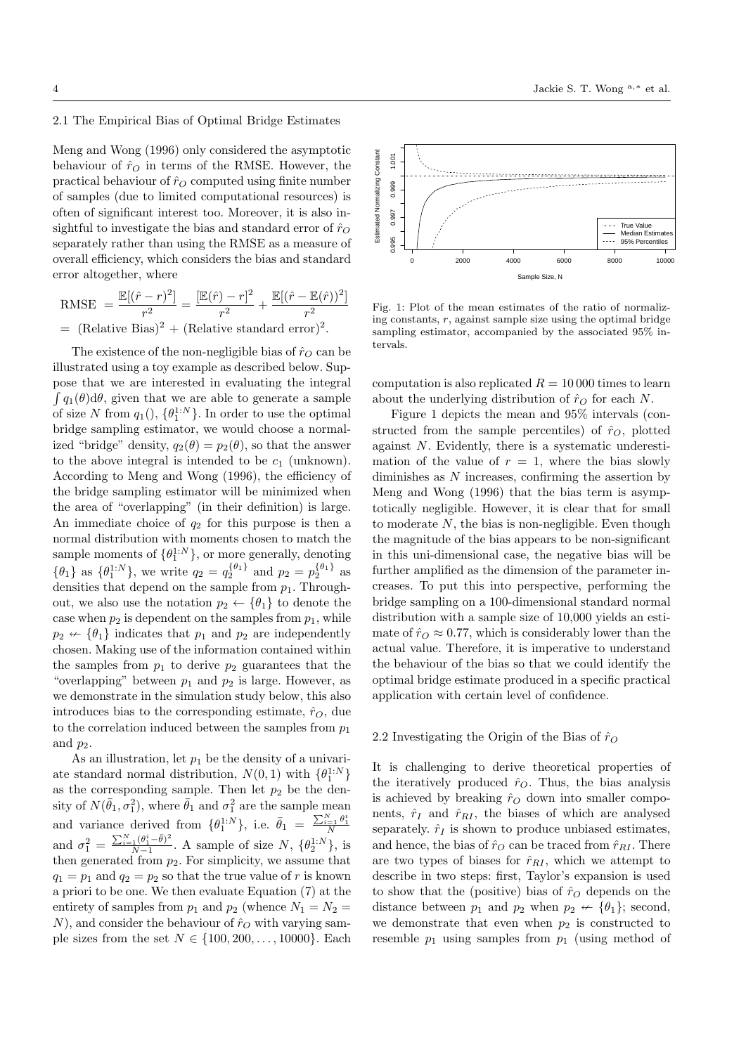# 2.1 The Empirical Bias of Optimal Bridge Estimates

Meng and Wong (1996) only considered the asymptotic behaviour of  $\hat{r}_O$  in terms of the RMSE. However, the practical behaviour of  $\hat{r}_O$  computed using finite number of samples (due to limited computational resources) is often of significant interest too. Moreover, it is also insightful to investigate the bias and standard error of  $\hat{r}_O$ separately rather than using the RMSE as a measure of overall efficiency, which considers the bias and standard error altogether, where

RMSE = 
$$
\frac{\mathbb{E}[(\hat{r} - r)^2]}{r^2} = \frac{[\mathbb{E}(\hat{r}) - r]^2}{r^2} + \frac{\mathbb{E}[(\hat{r} - \mathbb{E}(\hat{r}))^2]}{r^2}
$$
  
= (Relative Bias)<sup>2</sup> + (Relative standard error)<sup>2</sup>.

The existence of the non-negligible bias of  $\hat{r}_O$  can be illustrated using a toy example as described below. Suppose that we are interested in evaluating the integral  $\int q_1(\theta) d\theta$ , given that we are able to generate a sample of size N from  $q_1(), \{\theta_1^{1:N}\}$ . In order to use the optimal bridge sampling estimator, we would choose a normalized "bridge" density,  $q_2(\theta) = p_2(\theta)$ , so that the answer to the above integral is intended to be  $c_1$  (unknown). According to Meng and Wong (1996), the efficiency of the bridge sampling estimator will be minimized when the area of "overlapping" (in their definition) is large. An immediate choice of  $q_2$  for this purpose is then a normal distribution with moments chosen to match the sample moments of  $\{\theta_1^{1:N}\}\$ , or more generally, denoting  $\{\theta_1\}$  as  $\{\theta_1^{1:N}\}$ , we write  $q_2 = q_2^{\{\theta_1\}}$  and  $p_2 = p_2^{\{\theta_1\}}$  as densities that depend on the sample from  $p_1$ . Throughout, we also use the notation  $p_2 \leftarrow {\theta_1}$  to denote the case when  $p_2$  is dependent on the samples from  $p_1$ , while  $p_2 \nleftrightarrow {\theta_1}$  indicates that  $p_1$  and  $p_2$  are independently chosen. Making use of the information contained within the samples from  $p_1$  to derive  $p_2$  guarantees that the "overlapping" between  $p_1$  and  $p_2$  is large. However, as we demonstrate in the simulation study below, this also introduces bias to the corresponding estimate,  $\hat{r}_O$ , due to the correlation induced between the samples from  $p_1$ and  $p_2$ .

As an illustration, let  $p_1$  be the density of a univariate standard normal distribution,  $N(0,1)$  with  $\{\theta_1^{1:N}\}$ as the corresponding sample. Then let  $p_2$  be the density of  $N(\bar{\theta}_1, \sigma_1^2)$ , where  $\bar{\theta}_1$  and  $\sigma_1^2$  are the sample mean and variance derived from  $\{\theta_1^{1:N}\}\$ , i.e.  $\bar{\theta}_1 = \frac{\sum_{i=1}^N \theta_1^i}{N}$ and  $\sigma_1^2 = \frac{\sum_{i=1}^{N} (\theta_1^i - \bar{\theta})^2}{N-1}$  $\frac{N_{11}(\theta_1^{\star}-\theta)^2}{N-1}$ . A sample of size  $N, \{\theta_2^{1:N}\}\$ , is then generated from  $p_2$ . For simplicity, we assume that  $q_1 = p_1$  and  $q_2 = p_2$  so that the true value of r is known a priori to be one. We then evaluate Equation (7) at the entirety of samples from  $p_1$  and  $p_2$  (whence  $N_1 = N_2$  = N), and consider the behaviour of  $\hat{r}_O$  with varying sample sizes from the set  $N \in \{100, 200, ..., 10000\}$ . Each





Fig. 1: Plot of the mean estimates of the ratio of normalizing constants,  $r$ , against sample size using the optimal bridge sampling estimator, accompanied by the associated 95% intervals.

computation is also replicated  $R = 10000$  times to learn about the underlying distribution of  $\hat{r}_O$  for each N.

Figure 1 depicts the mean and 95% intervals (constructed from the sample percentiles) of  $\hat{r}_O$ , plotted against N. Evidently, there is a systematic underestimation of the value of  $r = 1$ , where the bias slowly diminishes as  $N$  increases, confirming the assertion by Meng and Wong (1996) that the bias term is asymptotically negligible. However, it is clear that for small to moderate  $N$ , the bias is non-negligible. Even though the magnitude of the bias appears to be non-significant in this uni-dimensional case, the negative bias will be further amplified as the dimension of the parameter increases. To put this into perspective, performing the bridge sampling on a 100-dimensional standard normal distribution with a sample size of 10,000 yields an estimate of  $\hat{r}_O \approx 0.77$ , which is considerably lower than the actual value. Therefore, it is imperative to understand the behaviour of the bias so that we could identify the optimal bridge estimate produced in a specific practical application with certain level of confidence.

### 2.2 Investigating the Origin of the Bias of  $\hat{r}_{\Omega}$

It is challenging to derive theoretical properties of the iteratively produced  $\hat{r}_O$ . Thus, the bias analysis is achieved by breaking  $\hat{r}_O$  down into smaller components,  $\hat{r}_I$  and  $\hat{r}_{RI}$ , the biases of which are analysed separately.  $\hat{r}_I$  is shown to produce unbiased estimates, and hence, the bias of  $\hat{r}_O$  can be traced from  $\hat{r}_{RI}$ . There are two types of biases for  $\hat{r}_{RI}$ , which we attempt to describe in two steps: first, Taylor's expansion is used to show that the (positive) bias of  $\hat{r}_O$  depends on the distance between  $p_1$  and  $p_2$  when  $p_2 \nleftrightarrow {\theta_1}$ ; second, we demonstrate that even when  $p_2$  is constructed to resemble  $p_1$  using samples from  $p_1$  (using method of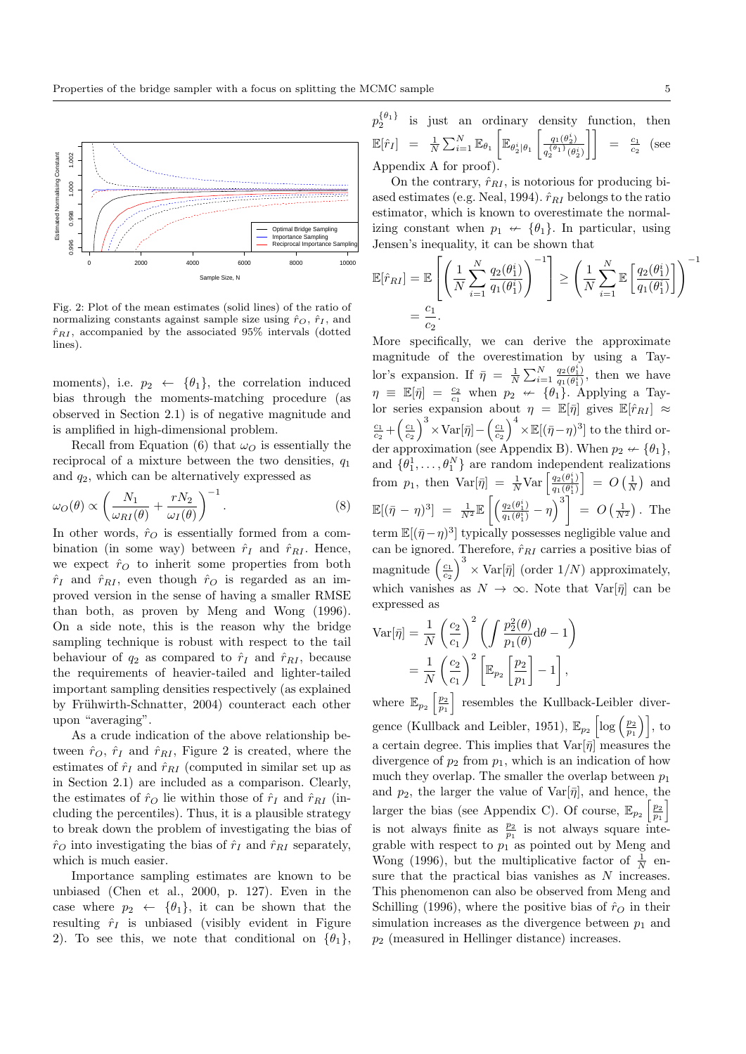

Fig. 2: Plot of the mean estimates (solid lines) of the ratio of normalizing constants against sample size using  $\hat{r}_O$ ,  $\hat{r}_I$ , and  $\hat{r}_{RI}$ , accompanied by the associated 95% intervals (dotted lines).

moments), i.e.  $p_2 \leftarrow {\theta_1}$ , the correlation induced bias through the moments-matching procedure (as observed in Section 2.1) is of negative magnitude and is amplified in high-dimensional problem.

Recall from Equation (6) that  $\omega_O$  is essentially the reciprocal of a mixture between the two densities,  $q_1$ and  $q_2$ , which can be alternatively expressed as

$$
\omega_O(\theta) \propto \left(\frac{N_1}{\omega_{RI}(\theta)} + \frac{rN_2}{\omega_I(\theta)}\right)^{-1}.\tag{8}
$$

In other words,  $\hat{r}_O$  is essentially formed from a combination (in some way) between  $\hat{r}_I$  and  $\hat{r}_{RI}$ . Hence, we expect  $\hat{r}_O$  to inherit some properties from both  $\hat{r}_I$  and  $\hat{r}_{RI}$ , even though  $\hat{r}_O$  is regarded as an improved version in the sense of having a smaller RMSE than both, as proven by Meng and Wong (1996). On a side note, this is the reason why the bridge sampling technique is robust with respect to the tail behaviour of  $q_2$  as compared to  $\hat{r}_I$  and  $\hat{r}_{RI}$ , because the requirements of heavier-tailed and lighter-tailed important sampling densities respectively (as explained by Frühwirth-Schnatter, 2004) counteract each other upon "averaging".

As a crude indication of the above relationship between  $\hat{r}_O$ ,  $\hat{r}_I$  and  $\hat{r}_{RI}$ , Figure 2 is created, where the estimates of  $\hat{r}_I$  and  $\hat{r}_{RI}$  (computed in similar set up as in Section 2.1) are included as a comparison. Clearly, the estimates of  $\hat{r}_O$  lie within those of  $\hat{r}_I$  and  $\hat{r}_{RI}$  (including the percentiles). Thus, it is a plausible strategy to break down the problem of investigating the bias of  $\hat{r}_O$  into investigating the bias of  $\hat{r}_I$  and  $\hat{r}_{RI}$  separately, which is much easier.

Importance sampling estimates are known to be unbiased (Chen et al., 2000, p. 127). Even in the case where  $p_2 \leftarrow {\theta_1}$ , it can be shown that the resulting  $\hat{r}_I$  is unbiased (visibly evident in Figure 2). To see this, we note that conditional on  $\{\theta_1\}$ ,

$$
p_2^{\{\theta_1\}} \text{ is just an ordinary density function, then}
$$
  

$$
\mathbb{E}[\hat{r}_I] = \frac{1}{N} \sum_{i=1}^N \mathbb{E}_{\theta_1} \left[ \mathbb{E}_{\theta_2^i | \theta_1} \left[ \frac{q_1(\theta_2^i)}{q_2^{\{\theta_1\}}(\theta_2^i)} \right] \right] = \frac{c_1}{c_2} \text{ (see Appendix A for proof).}
$$

On the contrary,  $\hat{r}_{RI}$ , is notorious for producing biased estimates (e.g. Neal, 1994).  $\hat{r}_{RI}$  belongs to the ratio estimator, which is known to overestimate the normalizing constant when  $p_1 \nleftrightarrow {\theta_1}$ . In particular, using Jensen's inequality, it can be shown that

$$
\mathbb{E}[\hat{r}_{RI}] = \mathbb{E}\left[\left(\frac{1}{N}\sum_{i=1}^{N}\frac{q_2(\theta_1^i)}{q_1(\theta_1^i)}\right)^{-1}\right] \ge \left(\frac{1}{N}\sum_{i=1}^{N}\mathbb{E}\left[\frac{q_2(\theta_1^i)}{q_1(\theta_1^i)}\right]\right)^{-1} \n= \frac{c_1}{c_2}.
$$

More specifically, we can derive the approximate magnitude of the overestimation by using a Taylor's expansion. If  $\bar{\eta} = \frac{1}{N} \sum_{i=1}^{N} \frac{q_2(\theta_1^i)}{q_1(\theta_1^i)}$  $\frac{q_2(\theta_1)}{q_1(\theta_1)},$  then we have  $\eta \equiv \mathbb{E}[\bar{\eta}] = \frac{c_2}{c_1}$  when  $p_2 \leftrightarrow {\theta_1}$ . Applying a Taylor series expansion about  $\eta = \mathbb{E}[\bar{\eta}]$  gives  $\mathbb{E}[\hat{r}_{RI}] \approx$  $\frac{c_1}{c_2} + \left(\frac{c_1}{c_2}\right)^3 \times \text{Var}[\bar{\eta}] - \left(\frac{c_1}{c_2}\right)^4 \times \mathbb{E}[(\bar{\eta}-\eta)^3]$  to the third order approximation (see Appendix B). When  $p_2 \nleftrightarrow {\theta_1},$ and  $\{\theta_1^1, \ldots, \theta_1^N\}$  are random independent realizations from  $p_1$ , then  $\text{Var}[\bar{\eta}] = \frac{1}{N} \text{Var} \left[ \frac{q_2(\theta_1^i)}{q_1(\theta_1^i)} \right]$  $\left[\frac{q_2(\theta_1^i)}{q_1(\theta_1^i)}\right] = O\left(\frac{1}{N}\right)$  and  $\mathbb{E}[(\bar{\eta}-\eta)^3] = \frac{1}{N^2}\mathbb{E}\left[\left(\frac{q_2(\theta_1^i)}{q_1(\theta_1^i)}\right)\right]$  $\left[\frac{q_2(\theta_1^i)}{q_1(\theta_1^i)} - \eta\right]^3$  =  $O\left(\frac{1}{N^2}\right)$ . The term  $\mathbb{E}[(\bar{\eta}-\eta)^3]$  typically possesses negligible value and can be ignored. Therefore,  $\hat{r}_{RI}$  carries a positive bias of magnitude  $\left(\frac{c_1}{c_2}\right)^3 \times \text{Var}[\bar{\eta}]$  (order  $1/N$ ) approximately, which vanishes as  $N \to \infty$ . Note that  $Var[\bar{\eta}]$  can be

$$
\begin{aligned} \text{Var}[\bar{\eta}] &= \frac{1}{N} \left(\frac{c_2}{c_1}\right)^2 \left(\int \frac{p_2^2(\theta)}{p_1(\theta)} \mathrm{d}\theta - 1\right) \\ &= \frac{1}{N} \left(\frac{c_2}{c_1}\right)^2 \left[\mathbb{E}_{p_2} \left[\frac{p_2}{p_1}\right] - 1\right], \end{aligned}
$$

expressed as

where  $\mathbb{E}_{p_2}\left[\frac{p_2}{p_1}\right]$  resembles the Kullback-Leibler divergence (Kullback and Leibler, 1951),  $\mathbb{E}_{p_2}\left[\log\left(\frac{p_2}{p_1}\right)\right]$ , to a certain degree. This implies that  $Var[\bar{\eta}]$  measures the divergence of  $p_2$  from  $p_1$ , which is an indication of how much they overlap. The smaller the overlap between  $p_1$ and  $p_2$ , the larger the value of  $Var[\bar{\eta}]$ , and hence, the larger the bias (see Appendix C). Of course,  $\mathbb{E}_{p_2} \left[ \frac{p_2}{p_1} \right]$ is not always finite as  $\frac{p_2}{p_1}$  is not always square integrable with respect to  $p_1^{\mu_1}$  as pointed out by Meng and Wong (1996), but the multiplicative factor of  $\frac{1}{N}$  ensure that the practical bias vanishes as  $N$  increases. This phenomenon can also be observed from Meng and Schilling (1996), where the positive bias of  $\hat{r}_O$  in their simulation increases as the divergence between  $p_1$  and  $p_2$  (measured in Hellinger distance) increases.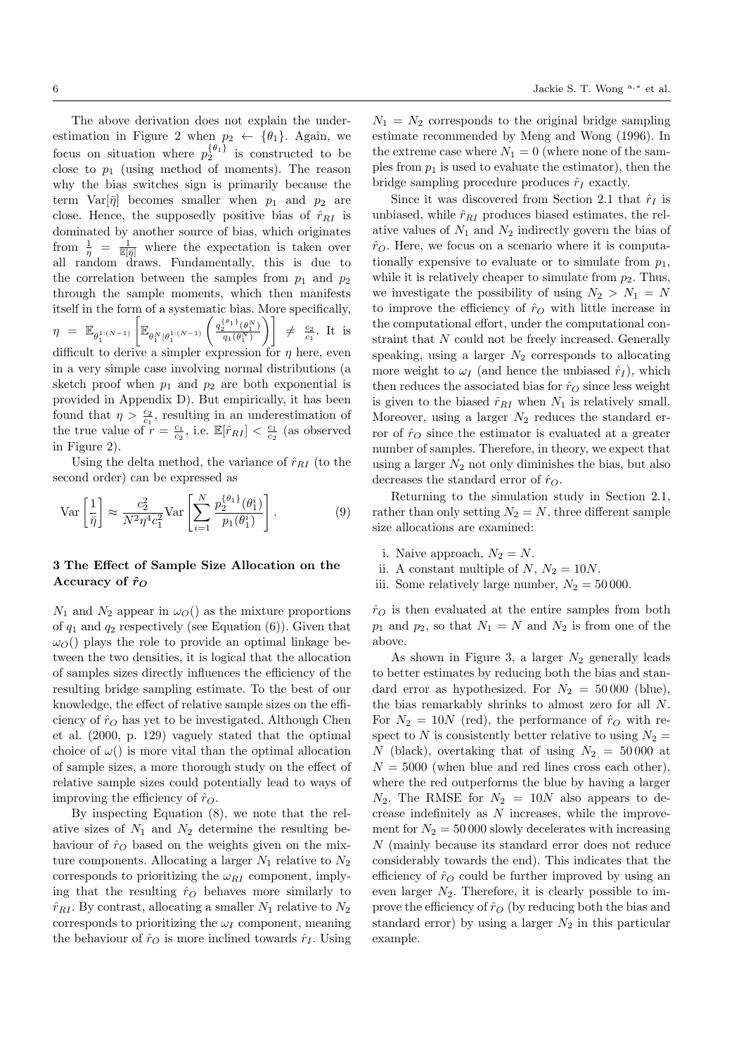The above derivation does not explain the underestimation in Figure 2 when  $p_2 \leftarrow {\theta_1}$ . Again, we focus on situation where  $p_2^{\{\theta_1\}}$  is constructed to be close to  $p_1$  (using method of moments). The reason why the bias switches sign is primarily because the term  $Var[\bar{\eta}]$  becomes smaller when  $p_1$  and  $p_2$  are close. Hence, the supposedly positive bias of  $\hat{r}_{RI}$  is dominated by another source of bias, which originates from  $\frac{1}{\eta} = \frac{1}{\mathbb{E}[\bar{\eta}]}$  where the expectation is taken over all random draws. Fundamentally, this is due to the correlation between the samples from  $p_1$  and  $p_2$ through the sample moments, which then manifests itself in the form of a systematic bias. More specifically,  $\eta = \mathbb{E}_{\theta_1^{1:(N-1)}}$  $\Bigl\lceil\mathbb{E}_{\theta_1^N \mid \theta_1^{1:(N-1)}}\Bigr\rceil$  $\int q_2^{\{\theta_1\}}(\theta_1^N)$  $\left[\frac{\theta_1}{q_1(\theta_1^N)}\right]\Bigg] \neq \frac{c_2}{c_1}.$  It is difficult to derive a simpler expression for  $\eta$  here, even in a very simple case involving normal distributions (a sketch proof when  $p_1$  and  $p_2$  are both exponential is provided in Appendix D). But empirically, it has been found that  $\eta > \frac{c_2}{c_1}$ , resulting in an underestimation of the true value of  $r = \frac{c_1}{c_2}$ , i.e.  $\mathbb{E}[\hat{r}_{RI}] < \frac{c_1}{c_2}$  (as observed in Figure 2).

Using the delta method, the variance of  $\hat{r}_{RI}$  (to the second order) can be expressed as

$$
\text{Var}\left[\frac{1}{\bar{\eta}}\right] \approx \frac{c_2^2}{N^2 \eta^4 c_1^2} \text{Var}\left[\sum_{i=1}^N \frac{p_2^{\{\theta_1\}}(\theta_1^i)}{p_1(\theta_1^i)}\right].\tag{9}
$$

# 3 The Effect of Sample Size Allocation on the Accuracy of  $\hat{r}_O$

 $N_1$  and  $N_2$  appear in  $\omega_O$  as the mixture proportions of  $q_1$  and  $q_2$  respectively (see Equation (6)). Given that  $\omega_O$ ) plays the role to provide an optimal linkage between the two densities, it is logical that the allocation of samples sizes directly influences the efficiency of the resulting bridge sampling estimate. To the best of our knowledge, the effect of relative sample sizes on the efficiency of  $\hat{r}_O$  has yet to be investigated. Although Chen et al. (2000, p. 129) vaguely stated that the optimal choice of  $\omega$ ) is more vital than the optimal allocation of sample sizes, a more thorough study on the effect of relative sample sizes could potentially lead to ways of improving the efficiency of  $\hat{r}_O$ .

By inspecting Equation (8), we note that the relative sizes of  $N_1$  and  $N_2$  determine the resulting behaviour of  $\hat{r}_O$  based on the weights given on the mixture components. Allocating a larger  $N_1$  relative to  $N_2$ corresponds to prioritizing the  $\omega_{RI}$  component, implying that the resulting  $\hat{r}_O$  behaves more similarly to  $\hat{r}_{RI}$ . By contrast, allocating a smaller  $N_1$  relative to  $N_2$ corresponds to prioritizing the  $\omega_I$  component, meaning the behaviour of  $\hat{r}_O$  is more inclined towards  $\hat{r}_I$ . Using  $N_1 = N_2$  corresponds to the original bridge sampling estimate recommended by Meng and Wong (1996). In the extreme case where  $N_1 = 0$  (where none of the samples from  $p_1$  is used to evaluate the estimator), then the bridge sampling procedure produces  $\hat{r}_I$  exactly.

Since it was discovered from Section 2.1 that  $\hat{r}_I$  is unbiased, while  $\hat{r}_{RI}$  produces biased estimates, the relative values of  $N_1$  and  $N_2$  indirectly govern the bias of  $\hat{r}_O$ . Here, we focus on a scenario where it is computationally expensive to evaluate or to simulate from  $p_1$ , while it is relatively cheaper to simulate from  $p_2$ . Thus, we investigate the possibility of using  $N_2 > N_1 = N$ to improve the efficiency of  $\hat{r}_O$  with little increase in the computational effort, under the computational constraint that N could not be freely increased. Generally speaking, using a larger  $N_2$  corresponds to allocating more weight to  $\omega_I$  (and hence the unbiased  $\hat{r}_I$ ), which then reduces the associated bias for  $\hat{r}_O$  since less weight is given to the biased  $\hat{r}_{RI}$  when  $N_1$  is relatively small. Moreover, using a larger  $N_2$  reduces the standard error of  $\hat{r}_O$  since the estimator is evaluated at a greater number of samples. Therefore, in theory, we expect that using a larger  $N_2$  not only diminishes the bias, but also decreases the standard error of  $\hat{r}_O$ .

Returning to the simulation study in Section 2.1, rather than only setting  $N_2 = N$ , three different sample size allocations are examined:

- i. Naive approach,  $N_2 = N$ .
- ii. A constant multiple of N,  $N_2 = 10N$ .
- iii. Some relatively large number,  $N_2 = 50000$ .

 $\hat{r}_O$  is then evaluated at the entire samples from both  $p_1$  and  $p_2$ , so that  $N_1 = N$  and  $N_2$  is from one of the above.

As shown in Figure 3, a larger  $N_2$  generally leads to better estimates by reducing both the bias and standard error as hypothesized. For  $N_2 = 50000$  (blue), the bias remarkably shrinks to almost zero for all N. For  $N_2 = 10N$  (red), the performance of  $\hat{r}_O$  with respect to N is consistently better relative to using  $N_2 =$ N (black), overtaking that of using  $N_2 = 50000$  at  $N = 5000$  (when blue and red lines cross each other), where the red outperforms the blue by having a larger  $N_2$ . The RMSE for  $N_2 = 10N$  also appears to decrease indefinitely as  $N$  increases, while the improvement for  $N_2 = 50000$  slowly decelerates with increasing N (mainly because its standard error does not reduce considerably towards the end). This indicates that the efficiency of  $\hat{r}_O$  could be further improved by using an even larger  $N_2$ . Therefore, it is clearly possible to improve the efficiency of  $\hat{r}_O$  (by reducing both the bias and standard error) by using a larger  $N_2$  in this particular example.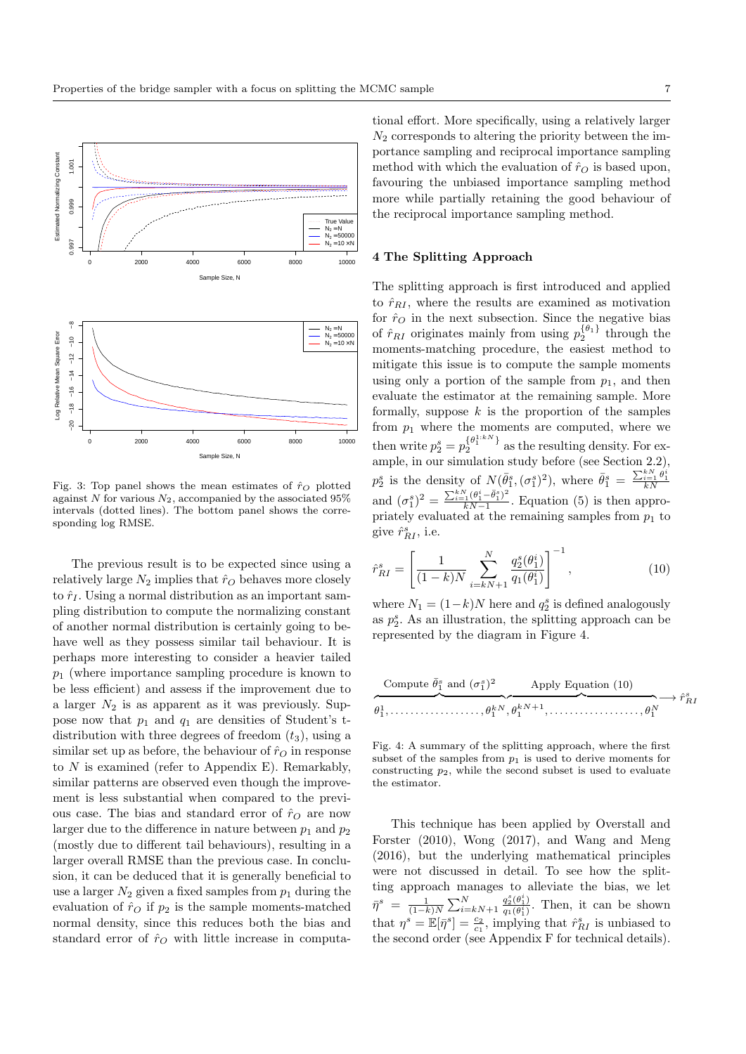

Fig. 3: Top panel shows the mean estimates of  $\hat{r}_O$  plotted against N for various  $N_2$ , accompanied by the associated 95% intervals (dotted lines). The bottom panel shows the corresponding log RMSE.

The previous result is to be expected since using a relatively large  $N_2$  implies that  $\hat{r}_O$  behaves more closely to  $\hat{r}_I$ . Using a normal distribution as an important sampling distribution to compute the normalizing constant of another normal distribution is certainly going to behave well as they possess similar tail behaviour. It is perhaps more interesting to consider a heavier tailed  $p_1$  (where importance sampling procedure is known to be less efficient) and assess if the improvement due to a larger  $N_2$  is as apparent as it was previously. Suppose now that  $p_1$  and  $q_1$  are densities of Student's tdistribution with three degrees of freedom  $(t_3)$ , using a similar set up as before, the behaviour of  $\hat{r}_O$  in response to  $N$  is examined (refer to Appendix E). Remarkably, similar patterns are observed even though the improvement is less substantial when compared to the previous case. The bias and standard error of  $\hat{r}_O$  are now larger due to the difference in nature between  $p_1$  and  $p_2$ (mostly due to different tail behaviours), resulting in a larger overall RMSE than the previous case. In conclusion, it can be deduced that it is generally beneficial to use a larger  $N_2$  given a fixed samples from  $p_1$  during the evaluation of  $\hat{r}_O$  if  $p_2$  is the sample moments-matched normal density, since this reduces both the bias and standard error of  $\hat{r}_O$  with little increase in computa-

tional effort. More specifically, using a relatively larger  $N_2$  corresponds to altering the priority between the importance sampling and reciprocal importance sampling method with which the evaluation of  $\hat{r}_O$  is based upon, favouring the unbiased importance sampling method more while partially retaining the good behaviour of the reciprocal importance sampling method.

### 4 The Splitting Approach

The splitting approach is first introduced and applied to  $\hat{r}_{RI}$ , where the results are examined as motivation for  $\hat{r}_O$  in the next subsection. Since the negative bias of  $\hat{r}_{RI}$  originates mainly from using  $p_2^{\{\theta_1\}}$  through the moments-matching procedure, the easiest method to mitigate this issue is to compute the sample moments using only a portion of the sample from  $p_1$ , and then evaluate the estimator at the remaining sample. More formally, suppose  $k$  is the proportion of the samples from  $p_1$  where the moments are computed, where we then write  $p_2^s = p_2^{\{\theta_1^{1:kN}\}}$  as the resulting density. For exthen write  $p_2 - p_2$  as the resulting density. For example, in our simulation study before (see Section 2.2),  $p_2^s$  is the density of  $N(\bar{\theta}_1^s, (\sigma_1^s)^2)$ , where  $\bar{\theta}_1^s = \frac{\sum_{i=1}^{k} \theta_1^i}{kN}$ and  $(\sigma_1^s)^2 = \frac{\sum_{i=1}^{k} (\theta_1^i - \bar{\theta}_1^s)^2}{kN-1}$  $\frac{k_1(\nu_1-\nu_1)}{kN-1}$ . Equation (5) is then appropriately evaluated at the remaining samples from  $p_1$  to give  $\hat{r}_{RI}^s$ , i.e.

$$
\hat{r}_{RI}^s = \left[ \frac{1}{(1-k)N} \sum_{i=kN+1}^N \frac{q_2^s(\theta_1^i)}{q_1(\theta_1^i)} \right]^{-1},\tag{10}
$$

where  $N_1 = (1-k)N$  here and  $q_2^s$  is defined analogously as  $p_2^s$ . As an illustration, the splitting approach can be represented by the diagram in Figure 4.

Compute 
$$
\bar{\theta}_1^s
$$
 and  $(\sigma_1^s)^2$   
\nApply Equation (10)  
\n $\theta_1^1$ , ..., ...,  $\theta_1^{kN}$ ,  $\theta_1^{kN+1}$ , ..., ...,  $\theta_1^N$ 

Fig. 4: A summary of the splitting approach, where the first subset of the samples from  $p_1$  is used to derive moments for constructing  $p_2$ , while the second subset is used to evaluate the estimator.

This technique has been applied by Overstall and Forster (2010), Wong (2017), and Wang and Meng (2016), but the underlying mathematical principles were not discussed in detail. To see how the splitting approach manages to alleviate the bias, we let  $\bar{\eta}^s = \frac{1}{(1-k)N} \sum_{i=kN+1}^{N}$  $q_2^s(\theta_1^i)$  $\frac{q_2(\theta_1)}{q_1(\theta_1^i)}$ . Then, it can be shown that  $\eta^s = \mathbb{E}[\bar{\eta}^s] = \frac{c_2}{c_1}$ , implying that  $\hat{r}_{RI}^s$  is unbiased to the second order (see Appendix F for technical details).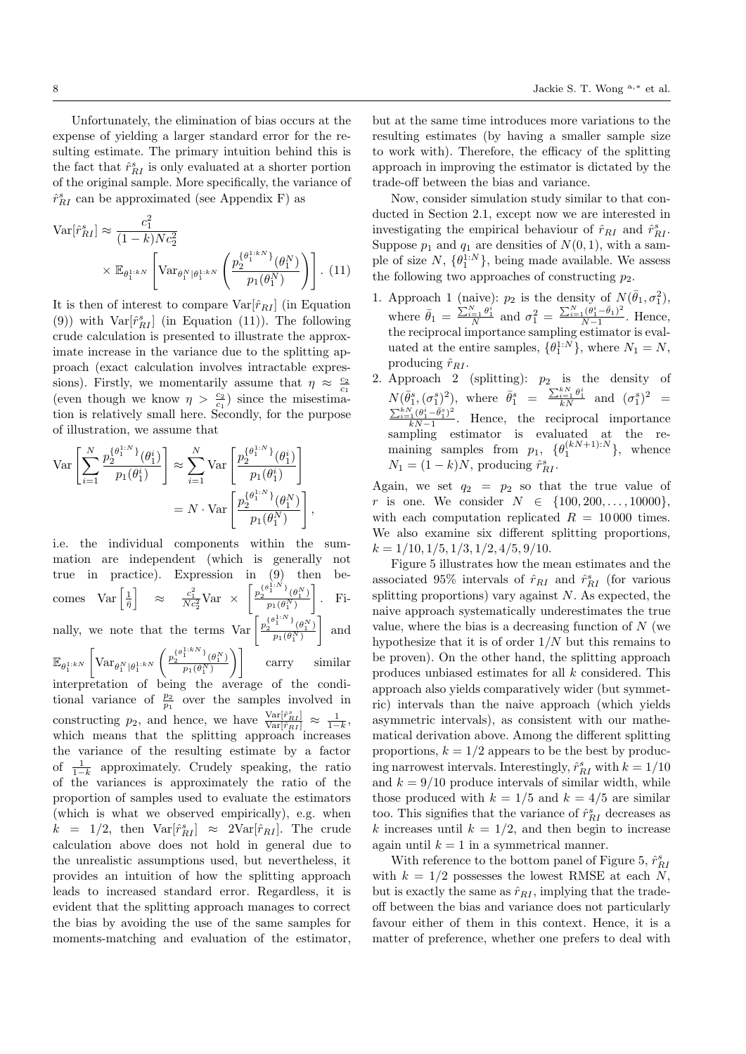Unfortunately, the elimination of bias occurs at the expense of yielding a larger standard error for the resulting estimate. The primary intuition behind this is the fact that  $\hat{r}_{RI}^s$  is only evaluated at a shorter portion of the original sample. More specifically, the variance of  $\hat{r}^s_{RI}$  can be approximated (see Appendix F) as

$$
\operatorname{Var}[\hat{r}_{RI}^s] \approx \frac{c_1^2}{(1-k)Nc_2^2}
$$

$$
\times \mathbb{E}_{\theta_1^{1:k}} \left[ \operatorname{Var}_{\theta_1^N | \theta_1^{1:k}} \left( \frac{p_2^{\{\theta_1^{1:k}}\}}{p_1(\theta_1^N)} \right) \right]. \tag{11}
$$

It is then of interest to compare  $Var[\hat{r}_{RI}]$  (in Equation (9)) with  $Var[\hat{r}_{RI}^s]$  (in Equation (11)). The following crude calculation is presented to illustrate the approximate increase in the variance due to the splitting approach (exact calculation involves intractable expressions). Firstly, we momentarily assume that  $\eta \approx \frac{c_2}{c_1}$ (even though we know  $\eta > \frac{c_2}{c_1}$ ) since the misestimation is relatively small here. Secondly, for the purpose of illustration, we assume that

$$
\begin{split} \text{Var}\left[\sum_{i=1}^{N}\frac{p_{2}^{\{\theta_{1}^{1:N}\}}(\theta_{1}^{i})}{p_{1}(\theta_{1}^{i})}\right] &\approx \sum_{i=1}^{N}\text{Var}\left[\frac{p_{2}^{\{\theta_{1}^{1:N}\}}(\theta_{1}^{i})}{p_{1}(\theta_{1}^{i})}\right] \\ & = N\cdot\text{Var}\left[\frac{p_{2}^{\{\theta_{1}^{1:N}\}}(\theta_{1}^{N})}{p_{1}(\theta_{1}^{N})}\right], \end{split}
$$

i.e. the individual components within the summation are independent (which is generally not true in practice). Expression in (9) then becomes  $\text{Var}\left[\frac{1}{\bar{\eta}}\right] \approx \frac{c_1^2}{Nc_2^2}\text{Var} \times \left[\frac{p_2^{\{\theta_i^{1:N}\}}(\theta_1^N)}{p_1(\theta_1^N)}\right]$  $p_1(\theta_1^N)$  $\big]$ . Finally, we note that the terms  $\text{Var}\left[\frac{p_2^{(\theta_1^{1:N})}(\theta_1^N)}{p_1(\theta_1^N)}\right]$  $p_1(\theta_1^N)$ | and  $\mathbb{E}_{\theta_1^{1:kN}}$  $\int \text{Var}_{\theta_1^N | \theta_1^{1: kN}}$  $\int \frac{p_2^{\{\theta_1^{1:kN}\}}}p_2^{\{\theta_1^{N}\}}$  $\left[\frac{\left(\theta_1^N\right)}{p_1(\theta_1^N)}\right)\Bigg] \qquad \text{carry} \qquad \text{similar}$ interpretation of being the average of the conditional variance of  $\frac{p_2}{p_1}$  over the samples involved in constructing  $p_2$ , and hence, we have  $\frac{\text{Var}[\hat{r}_{RI}^s]}{\text{Var}[\hat{r}_{RI}]} \approx \frac{1}{1-k}$ , which means that the splitting approach increases the variance of the resulting estimate by a factor of  $\frac{1}{1-k}$  approximately. Crudely speaking, the ratio of the variances is approximately the ratio of the proportion of samples used to evaluate the estimators (which is what we observed empirically), e.g. when  $k = 1/2$ , then  $Var[\hat{r}_{RI}^s] \approx 2Var[\hat{r}_{RI}]$ . The crude calculation above does not hold in general due to the unrealistic assumptions used, but nevertheless, it provides an intuition of how the splitting approach leads to increased standard error. Regardless, it is evident that the splitting approach manages to correct the bias by avoiding the use of the same samples for moments-matching and evaluation of the estimator,

but at the same time introduces more variations to the resulting estimates (by having a smaller sample size to work with). Therefore, the efficacy of the splitting approach in improving the estimator is dictated by the trade-off between the bias and variance.

Now, consider simulation study similar to that conducted in Section 2.1, except now we are interested in investigating the empirical behaviour of  $\hat{r}_{RI}$  and  $\hat{r}_{RI}^s$ . Suppose  $p_1$  and  $q_1$  are densities of  $N(0, 1)$ , with a sample of size  $N$ ,  $\{\theta_1^{1:N}\}$ , being made available. We assess the following two approaches of constructing  $p_2$ .

- 1. Approach 1 (naive):  $p_2$  is the density of  $N(\bar{\theta}_1, \sigma_1^2)$ , where  $\bar{\theta}_1 = \frac{\sum_{i=1}^{N} \theta_1^i}{N}$  and  $\sigma_1^2 = \frac{\sum_{i=1}^{N} (\theta_1^i - \bar{\theta}_1)^2}{N-1}$  $\frac{1}{N-1}^{\lfloor \sigma_1 - \sigma_1 \rfloor}$ . Hence, the reciprocal importance sampling estimator is evaluated at the entire samples,  $\{\theta_1^{1:N}\}\$ , where  $N_1 = N$ , producing  $\hat{r}_{RI}$ .
- 2. Approach 2 (splitting):  $p_2$  is the density of  $N(\bar{\theta}_1^s, (\sigma_1^s)^2)$ , where  $\bar{\theta}_1^s = \frac{\sum_{i=1}^{k} \theta_1^i}{kN}$  and  $(\sigma_1^s)^2$  =  $\sum_{i=1}^{kN}(\theta_1^i-\bar{\theta}_1^s)^2$  $\frac{kN-1}{kN-1}$ . Hence, the reciprocal importance sampling estimator is evaluated at the remaining samples from  $p_1$ ,  $\{\theta_1^{(kN+1):N}\}\$ , whence  $N_1 = (1 - k)N$ , producing  $\hat{r}_{RI}^s$ .

Again, we set  $q_2 = p_2$  so that the true value of r is one. We consider  $N \in \{100, 200, ..., 10000\}$ , with each computation replicated  $R = 10000$  times. We also examine six different splitting proportions,  $k = 1/10, 1/5, 1/3, 1/2, 4/5, 9/10.$ 

Figure 5 illustrates how the mean estimates and the associated 95% intervals of  $\hat{r}_{RI}$  and  $\hat{r}_{RI}^s$  (for various splitting proportions) vary against  $N$ . As expected, the naive approach systematically underestimates the true value, where the bias is a decreasing function of  $N$  (we hypothesize that it is of order  $1/N$  but this remains to be proven). On the other hand, the splitting approach produces unbiased estimates for all k considered. This approach also yields comparatively wider (but symmetric) intervals than the naive approach (which yields asymmetric intervals), as consistent with our mathematical derivation above. Among the different splitting proportions,  $k = 1/2$  appears to be the best by producing narrowest intervals. Interestingly,  $\hat{r}^s_{RI}$  with  $k=1/10$ and  $k = 9/10$  produce intervals of similar width, while those produced with  $k = 1/5$  and  $k = 4/5$  are similar too. This signifies that the variance of  $\hat{r}^s_{RI}$  decreases as k increases until  $k = 1/2$ , and then begin to increase again until  $k = 1$  in a symmetrical manner.

With reference to the bottom panel of Figure 5,  $\hat{r}^s_{RI}$ with  $k = 1/2$  possesses the lowest RMSE at each N, but is exactly the same as  $\hat{r}_{RI}$ , implying that the tradeoff between the bias and variance does not particularly favour either of them in this context. Hence, it is a matter of preference, whether one prefers to deal with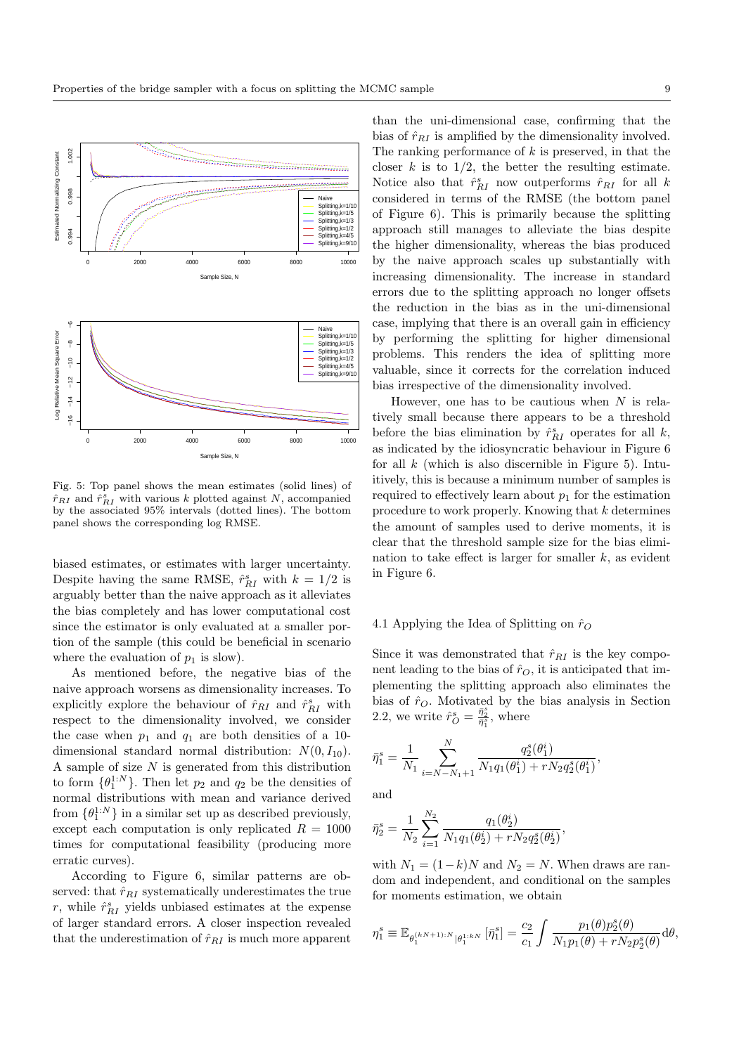

Fig. 5: Top panel shows the mean estimates (solid lines) of  $\hat{r}_{RI}$  and  $\hat{r}_{RI}^s$  with various k plotted against N, accompanied by the associated 95% intervals (dotted lines). The bottom panel shows the corresponding log RMSE.

biased estimates, or estimates with larger uncertainty. Despite having the same RMSE,  $\hat{r}_{RI}^s$  with  $k = 1/2$  is arguably better than the naive approach as it alleviates the bias completely and has lower computational cost since the estimator is only evaluated at a smaller portion of the sample (this could be beneficial in scenario where the evaluation of  $p_1$  is slow).

As mentioned before, the negative bias of the naive approach worsens as dimensionality increases. To explicitly explore the behaviour of  $\hat{r}_{RI}$  and  $\hat{r}_{RI}^s$  with respect to the dimensionality involved, we consider the case when  $p_1$  and  $q_1$  are both densities of a 10dimensional standard normal distribution:  $N(0, I_{10})$ . A sample of size  $N$  is generated from this distribution to form  $\{\theta_1^{1:N}\}$ . Then let  $p_2$  and  $q_2$  be the densities of normal distributions with mean and variance derived from  $\{\theta_1^{1:N}\}$  in a similar set up as described previously, except each computation is only replicated  $R = 1000$ times for computational feasibility (producing more erratic curves).

According to Figure 6, similar patterns are observed: that  $\hat{r}_{RI}$  systematically underestimates the true  $r$ , while  $\hat{r}_{RI}^s$  yields unbiased estimates at the expense of larger standard errors. A closer inspection revealed that the underestimation of  $\hat{r}_{RI}$  is much more apparent

than the uni-dimensional case, confirming that the bias of  $\hat{r}_{RI}$  is amplified by the dimensionality involved. The ranking performance of  $k$  is preserved, in that the closer  $k$  is to  $1/2$ , the better the resulting estimate. Notice also that  $\hat{r}_{RI}^s$  now outperforms  $\hat{r}_{RI}$  for all k considered in terms of the RMSE (the bottom panel of Figure 6). This is primarily because the splitting approach still manages to alleviate the bias despite the higher dimensionality, whereas the bias produced by the naive approach scales up substantially with increasing dimensionality. The increase in standard errors due to the splitting approach no longer offsets the reduction in the bias as in the uni-dimensional case, implying that there is an overall gain in efficiency by performing the splitting for higher dimensional problems. This renders the idea of splitting more valuable, since it corrects for the correlation induced bias irrespective of the dimensionality involved.

However, one has to be cautious when  $N$  is relatively small because there appears to be a threshold before the bias elimination by  $\hat{r}_{RI}^s$  operates for all  $k$ , as indicated by the idiosyncratic behaviour in Figure 6 for all  $k$  (which is also discernible in Figure 5). Intuitively, this is because a minimum number of samples is required to effectively learn about  $p_1$  for the estimation procedure to work properly. Knowing that  $k$  determines the amount of samples used to derive moments, it is clear that the threshold sample size for the bias elimination to take effect is larger for smaller  $k$ , as evident in Figure 6.

# 4.1 Applying the Idea of Splitting on  $\hat{r}_O$

Since it was demonstrated that  $\hat{r}_{RI}$  is the key component leading to the bias of  $\hat{r}_O$ , it is anticipated that implementing the splitting approach also eliminates the bias of  $\hat{r}_O$ . Motivated by the bias analysis in Section 2.2, we write  $\hat{r}_{O}^{s} = \frac{\bar{\eta}_{2}^{s}}{\bar{\eta}_{1}^{s}},$  where

$$
\bar{\eta}_1^s = \frac{1}{N_1} \sum_{i=N-N_1+1}^N \frac{q_2^s(\theta_1^i)}{N_1 q_1(\theta_1^i) + r N_2 q_2^s(\theta_1^i)},
$$

and

$$
\bar{\eta}_2^s = \frac{1}{N_2} \sum_{i=1}^{N_2} \frac{q_1(\theta_2^i)}{N_1 q_1(\theta_2^i) + r N_2 q_2^s(\theta_2^i)}
$$

with  $N_1 = (1-k)N$  and  $N_2 = N$ . When draws are random and independent, and conditional on the samples for moments estimation, we obtain

,

$$
\eta_1^s \equiv \mathbb{E}_{\theta_1^{(kN+1):N}|\theta_1^{1:kN}}\left[\bar{\eta}_1^s\right] = \frac{c_2}{c_1} \int \frac{p_1(\theta) p_2^s(\theta)}{N_1 p_1(\theta) + r N_2 p_2^s(\theta)} d\theta,
$$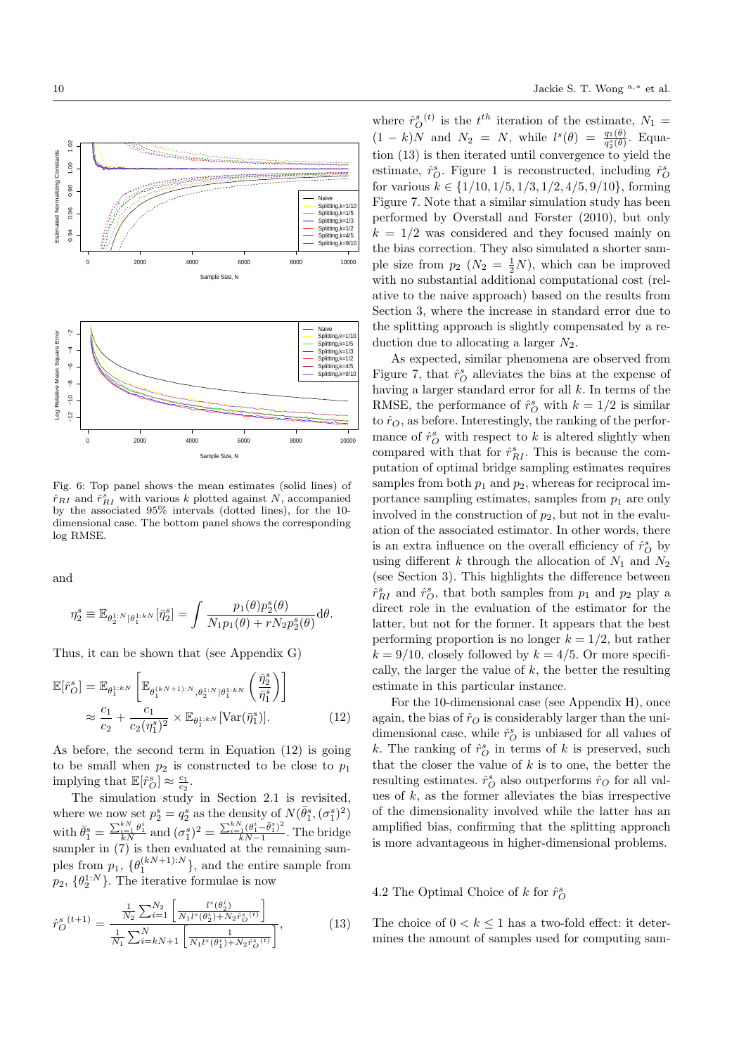

Fig. 6: Top panel shows the mean estimates (solid lines) of  $\hat{r}_{RI}$  and  $\hat{r}_{RI}^s$  with various k plotted against N, accompanied by the associated 95% intervals (dotted lines), for the 10 dimensional case. The bottom panel shows the corresponding log RMSE.

and

$$
\eta_2^s\equiv\mathbb{E}_{\theta_2^{1:N}|\theta_1^{1: kN}}[\bar{\eta}_2^s]=\int \frac{p_1(\theta) p_2^s(\theta)}{N_1p_1(\theta)+rN_2p_2^s(\theta)}\text{d}\theta.
$$

Thus, it can be shown that (see Appendix G)

$$
\mathbb{E}[\hat{r}_O^s] = \mathbb{E}_{\theta_1^{1:k}N} \left[ \mathbb{E}_{\theta_1^{(kN+1):N}, \theta_2^{1:N} | \theta_1^{1:k}N} \left( \frac{\bar{\eta}_2^s}{\bar{\eta}_1^s} \right) \right]
$$

$$
\approx \frac{c_1}{c_2} + \frac{c_1}{c_2(\eta_1^s)^2} \times \mathbb{E}_{\theta_1^{1:k}N} [\text{Var}(\bar{\eta}_1^s)]. \tag{12}
$$

As before, the second term in Equation (12) is going to be small when  $p_2$  is constructed to be close to  $p_1$ implying that  $\mathbb{E}[\hat{r}_O^s] \approx \frac{c_1}{c_2}$ .

The simulation study in Section 2.1 is revisited, where we now set  $p_2^s = q_2^s$  as the density of  $N(\bar{\theta}_1^s, (\sigma_1^s)^2)$ with  $\bar{\theta}_1^s = \frac{\sum_{i=1}^{kN} \theta_1^i}{kN}$  and  $(\sigma_1^s)^2 = \frac{\sum_{i=1}^{kN} (\theta_1^i - \bar{\theta}_1^s)^2}{kN-1}$  $\frac{kN-1}{kN-1}$ . The bridge sampler in (7) is then evaluated at the remaining samples from  $p_1$ ,  $\{\theta_1^{(kN+1):N}\}\$ , and the entire sample from  $p_2, \{\theta_2^{1:N}\}\.$  The iterative formulae is now

$$
\hat{r}_O^s (t+1) = \frac{\frac{1}{N_2} \sum_{i=1}^{N_2} \left[ \frac{l^s(\theta_2^i)}{N_1 l^s(\theta_2^i) + N_2 \hat{r}_O^s(t)} \right]}{\frac{1}{N_1} \sum_{i=kN+1}^{N} \left[ \frac{1}{N_1 l^s(\theta_1^i) + N_2 \hat{r}_O^s(t)} \right]},
$$
\n(13)

where  $\hat{r}_O^s(t)$  is the  $t^{th}$  iteration of the estimate,  $N_1 =$  $(1 - k)N$  and  $N_2 = N$ , while  $l^s(\theta) = \frac{q_1(\theta)}{q_2^s(\theta)}$ . Equation (13) is then iterated until convergence to yield the estimate,  $\hat{r}_O^s$ . Figure 1 is reconstructed, including  $\hat{r}_O^s$ for various  $k \in \{1/10, 1/5, 1/3, 1/2, 4/5, 9/10\}$ , forming Figure 7. Note that a similar simulation study has been performed by Overstall and Forster (2010), but only  $k = 1/2$  was considered and they focused mainly on the bias correction. They also simulated a shorter sample size from  $p_2$   $(N_2 = \frac{1}{2}N)$ , which can be improved with no substantial additional computational cost (relative to the naive approach) based on the results from Section 3, where the increase in standard error due to the splitting approach is slightly compensated by a reduction due to allocating a larger  $N_2$ .

As expected, similar phenomena are observed from Figure 7, that  $\hat{r}_O^s$  alleviates the bias at the expense of having a larger standard error for all  $k$ . In terms of the RMSE, the performance of  $\hat{r}_O^s$  with  $k = 1/2$  is similar to  $\hat{r}_O$ , as before. Interestingly, the ranking of the performance of  $\hat{r}_O^s$  with respect to k is altered slightly when compared with that for  $\hat{r}_{RI}^s$ . This is because the computation of optimal bridge sampling estimates requires samples from both  $p_1$  and  $p_2$ , whereas for reciprocal importance sampling estimates, samples from  $p_1$  are only involved in the construction of  $p_2$ , but not in the evaluation of the associated estimator. In other words, there is an extra influence on the overall efficiency of  $\hat{r}_O^s$  by using different k through the allocation of  $N_1$  and  $N_2$ (see Section 3). This highlights the difference between  $\hat{r}_{RI}^s$  and  $\hat{r}_O^s$ , that both samples from  $p_1$  and  $p_2$  play a direct role in the evaluation of the estimator for the latter, but not for the former. It appears that the best performing proportion is no longer  $k = 1/2$ , but rather  $k = 9/10$ , closely followed by  $k = 4/5$ . Or more specifically, the larger the value of  $k$ , the better the resulting estimate in this particular instance.

For the 10-dimensional case (see Appendix H), once again, the bias of  $\hat{r}_O$  is considerably larger than the unidimensional case, while  $\hat{r}_O^s$  is unbiased for all values of k. The ranking of  $\hat{r}_O^s$  in terms of k is preserved, such that the closer the value of  $k$  is to one, the better the resulting estimates.  $\hat{r}_O^s$  also outperforms  $\hat{r}_O$  for all values of  $k$ , as the former alleviates the bias irrespective of the dimensionality involved while the latter has an amplified bias, confirming that the splitting approach is more advantageous in higher-dimensional problems.

# 4.2 The Optimal Choice of  $k$  for  $\hat{r}_O^s$

The choice of  $0 < k < 1$  has a two-fold effect: it determines the amount of samples used for computing sam-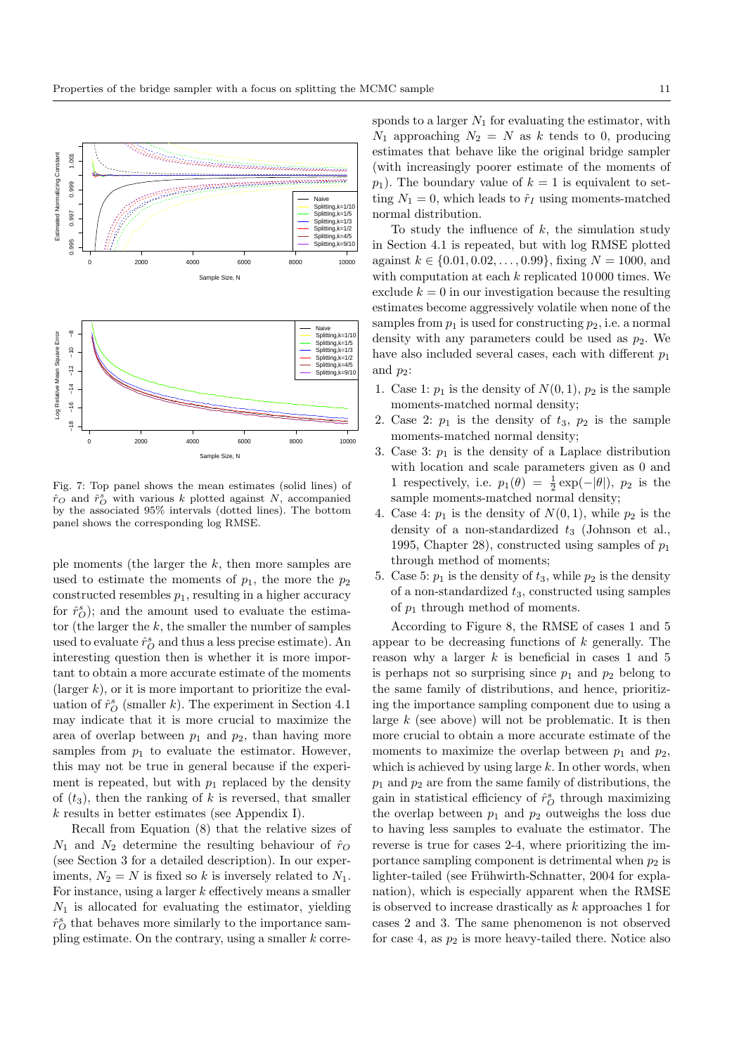

Fig. 7: Top panel shows the mean estimates (solid lines) of  $\hat{r}_O$  and  $\hat{r}_O^s$  with various k plotted against N, accompanied by the associated 95% intervals (dotted lines). The bottom panel shows the corresponding log RMSE.

ple moments (the larger the  $k$ , then more samples are used to estimate the moments of  $p_1$ , the more the  $p_2$ constructed resembles  $p_1$ , resulting in a higher accuracy for  $\hat{r}_O^s$ ; and the amount used to evaluate the estimator (the larger the  $k$ , the smaller the number of samples used to evaluate  $\hat{r}_O^s$  and thus a less precise estimate). An interesting question then is whether it is more important to obtain a more accurate estimate of the moments (larger  $k$ ), or it is more important to prioritize the evaluation of  $\hat{r}_O^s$  (smaller k). The experiment in Section 4.1 may indicate that it is more crucial to maximize the area of overlap between  $p_1$  and  $p_2$ , than having more samples from  $p_1$  to evaluate the estimator. However, this may not be true in general because if the experiment is repeated, but with  $p_1$  replaced by the density of  $(t_3)$ , then the ranking of k is reversed, that smaller k results in better estimates (see Appendix I).

Recall from Equation (8) that the relative sizes of  $N_1$  and  $N_2$  determine the resulting behaviour of  $\hat{r}_O$ (see Section 3 for a detailed description). In our experiments,  $N_2 = N$  is fixed so k is inversely related to  $N_1$ . For instance, using a larger  $k$  effectively means a smaller  $N_1$  is allocated for evaluating the estimator, yielding  $\hat{r}_O^s$  that behaves more similarly to the importance sampling estimate. On the contrary, using a smaller  $k$  corresponds to a larger  $N_1$  for evaluating the estimator, with  $N_1$  approaching  $N_2 = N$  as k tends to 0, producing estimates that behave like the original bridge sampler (with increasingly poorer estimate of the moments of  $p_1$ ). The boundary value of  $k = 1$  is equivalent to setting  $N_1 = 0$ , which leads to  $\hat{r}_I$  using moments-matched normal distribution.

To study the influence of  $k$ , the simulation study in Section 4.1 is repeated, but with log RMSE plotted against  $k \in \{0.01, 0.02, \ldots, 0.99\}$ , fixing  $N = 1000$ , and with computation at each  $k$  replicated 10 000 times. We exclude  $k = 0$  in our investigation because the resulting estimates become aggressively volatile when none of the samples from  $p_1$  is used for constructing  $p_2$ , i.e. a normal density with any parameters could be used as  $p_2$ . We have also included several cases, each with different  $p_1$ and  $p_2$ :

- 1. Case 1:  $p_1$  is the density of  $N(0, 1)$ ,  $p_2$  is the sample moments-matched normal density;
- 2. Case 2:  $p_1$  is the density of  $t_3$ ,  $p_2$  is the sample moments-matched normal density;
- 3. Case 3:  $p_1$  is the density of a Laplace distribution with location and scale parameters given as 0 and 1 respectively, i.e.  $p_1(\theta) = \frac{1}{2} \exp(-|\theta|)$ ,  $p_2$  is the sample moments-matched normal density;
- 4. Case 4:  $p_1$  is the density of  $N(0, 1)$ , while  $p_2$  is the density of a non-standardized  $t_3$  (Johnson et al., 1995, Chapter 28), constructed using samples of  $p_1$ through method of moments;
- 5. Case 5:  $p_1$  is the density of  $t_3$ , while  $p_2$  is the density of a non-standardized  $t_3$ , constructed using samples of  $p_1$  through method of moments.

According to Figure 8, the RMSE of cases 1 and 5 appear to be decreasing functions of  $k$  generally. The reason why a larger  $k$  is beneficial in cases 1 and 5 is perhaps not so surprising since  $p_1$  and  $p_2$  belong to the same family of distributions, and hence, prioritizing the importance sampling component due to using a large  $k$  (see above) will not be problematic. It is then more crucial to obtain a more accurate estimate of the moments to maximize the overlap between  $p_1$  and  $p_2$ , which is achieved by using large  $k$ . In other words, when  $p_1$  and  $p_2$  are from the same family of distributions, the gain in statistical efficiency of  $\hat{r}_O^s$  through maximizing the overlap between  $p_1$  and  $p_2$  outweighs the loss due to having less samples to evaluate the estimator. The reverse is true for cases 2-4, where prioritizing the importance sampling component is detrimental when  $p_2$  is lighter-tailed (see Frühwirth-Schnatter, 2004 for explanation), which is especially apparent when the RMSE is observed to increase drastically as  $k$  approaches 1 for cases 2 and 3. The same phenomenon is not observed for case 4, as  $p_2$  is more heavy-tailed there. Notice also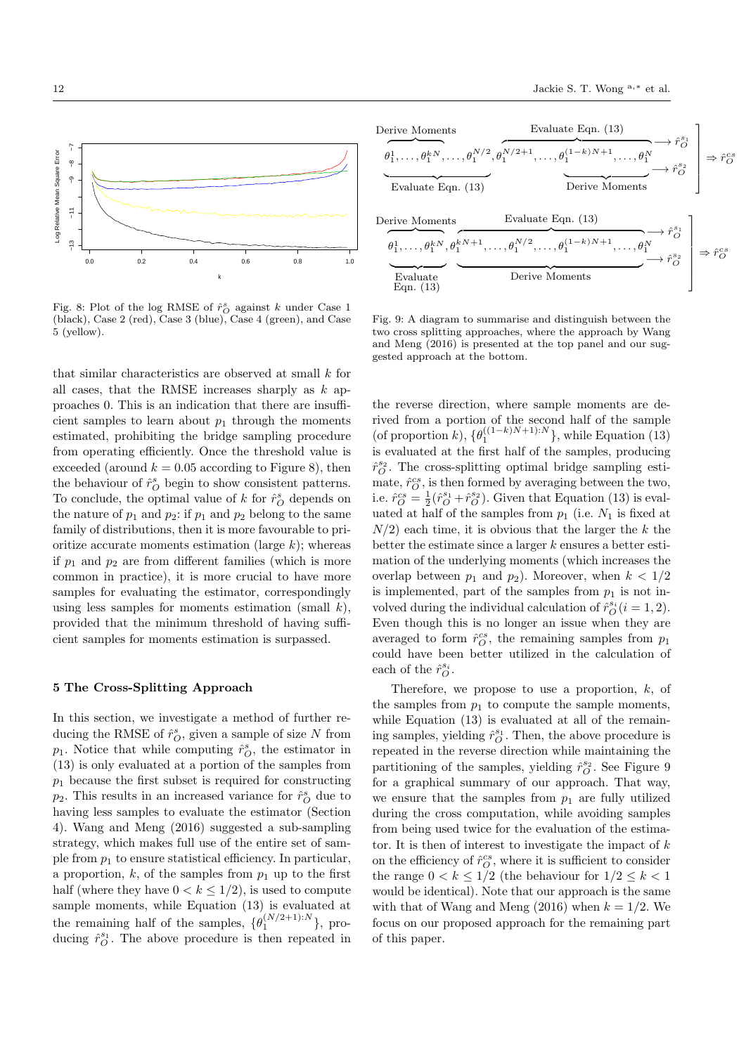

Fig. 8: Plot of the log RMSE of  $\hat{r}_O^s$  against  $k$  under Case 1 (black), Case 2 (red), Case 3 (blue), Case 4 (green), and Case 5 (yellow).

that similar characteristics are observed at small  $k$  for all cases, that the RMSE increases sharply as  $k$  approaches 0. This is an indication that there are insufficient samples to learn about  $p_1$  through the moments estimated, prohibiting the bridge sampling procedure from operating efficiently. Once the threshold value is exceeded (around  $k = 0.05$  according to Figure 8), then the behaviour of  $\hat{r}_O^s$  begin to show consistent patterns. To conclude, the optimal value of  $k$  for  $\hat{r}^s_{\mathcal{O}}$  depends on the nature of  $p_1$  and  $p_2$ : if  $p_1$  and  $p_2$  belong to the same family of distributions, then it is more favourable to prioritize accurate moments estimation (large  $k$ ); whereas if  $p_1$  and  $p_2$  are from different families (which is more common in practice), it is more crucial to have more samples for evaluating the estimator, correspondingly using less samples for moments estimation (small  $k$ ), provided that the minimum threshold of having sufficient samples for moments estimation is surpassed.

### 5 The Cross-Splitting Approach

In this section, we investigate a method of further reducing the RMSE of  $\hat{r}_O^s$ , given a sample of size N from  $p_1$ . Notice that while computing  $\hat{r}_O^s$ , the estimator in (13) is only evaluated at a portion of the samples from  $p_1$  because the first subset is required for constructing  $p_2$ . This results in an increased variance for  $\hat{r}_O^s$  due to having less samples to evaluate the estimator (Section 4). Wang and Meng (2016) suggested a sub-sampling strategy, which makes full use of the entire set of sample from  $p_1$  to ensure statistical efficiency. In particular, a proportion, k, of the samples from  $p_1$  up to the first half (where they have  $0 < k \leq 1/2$ ), is used to compute sample moments, while Equation (13) is evaluated at the remaining half of the samples,  $\{\theta_1^{(N/2+1):N}\}\$ , producing  $\hat{r}_O^{s_1}$ . The above procedure is then repeated in



Fig. 9: A diagram to summarise and distinguish between the two cross splitting approaches, where the approach by Wang and Meng (2016) is presented at the top panel and our suggested approach at the bottom.

the reverse direction, where sample moments are derived from a portion of the second half of the sample (of proportion k),  $\{\theta_1^{((1-k)N+1):N}\}$ , while Equation (13) is evaluated at the first half of the samples, producing  $\hat{r}_O^{s_2}.$  The cross-splitting optimal bridge sampling estimate,  $\hat{r}_{O}^{cs}$ , is then formed by averaging between the two, i.e.  $\hat{r}_O^{cs} = \frac{1}{2} (\hat{r}_O^{s_1} + \hat{r}_O^{s_2})$ . Given that Equation (13) is evaluated at half of the samples from  $p_1$  (i.e.  $N_1$  is fixed at  $N/2$ ) each time, it is obvious that the larger the k the better the estimate since a larger  $k$  ensures a better estimation of the underlying moments (which increases the overlap between  $p_1$  and  $p_2$ ). Moreover, when  $k < 1/2$ is implemented, part of the samples from  $p_1$  is not involved during the individual calculation of  $\hat{r}_O^{s_i}$  (*i* = 1, 2). Even though this is no longer an issue when they are averaged to form  $\hat{r}_O^{cs}$ , the remaining samples from  $p_1$ could have been better utilized in the calculation of each of the  $\hat{r}_O^{s_i}.$ 

Therefore, we propose to use a proportion,  $k$ , of the samples from  $p_1$  to compute the sample moments, while Equation (13) is evaluated at all of the remaining samples, yielding  $\hat{r}_O^{s_1}$ . Then, the above procedure is repeated in the reverse direction while maintaining the partitioning of the samples, yielding  $\hat{r}^{s_2}_{O}$ . See Figure 9 for a graphical summary of our approach. That way, we ensure that the samples from  $p_1$  are fully utilized during the cross computation, while avoiding samples from being used twice for the evaluation of the estimator. It is then of interest to investigate the impact of  $k$ on the efficiency of  $\hat{r}_O^{cs}$ , where it is sufficient to consider the range  $0 < k \leq 1/2$  (the behaviour for  $1/2 \leq k < 1$ would be identical). Note that our approach is the same with that of Wang and Meng (2016) when  $k = 1/2$ . We focus on our proposed approach for the remaining part of this paper.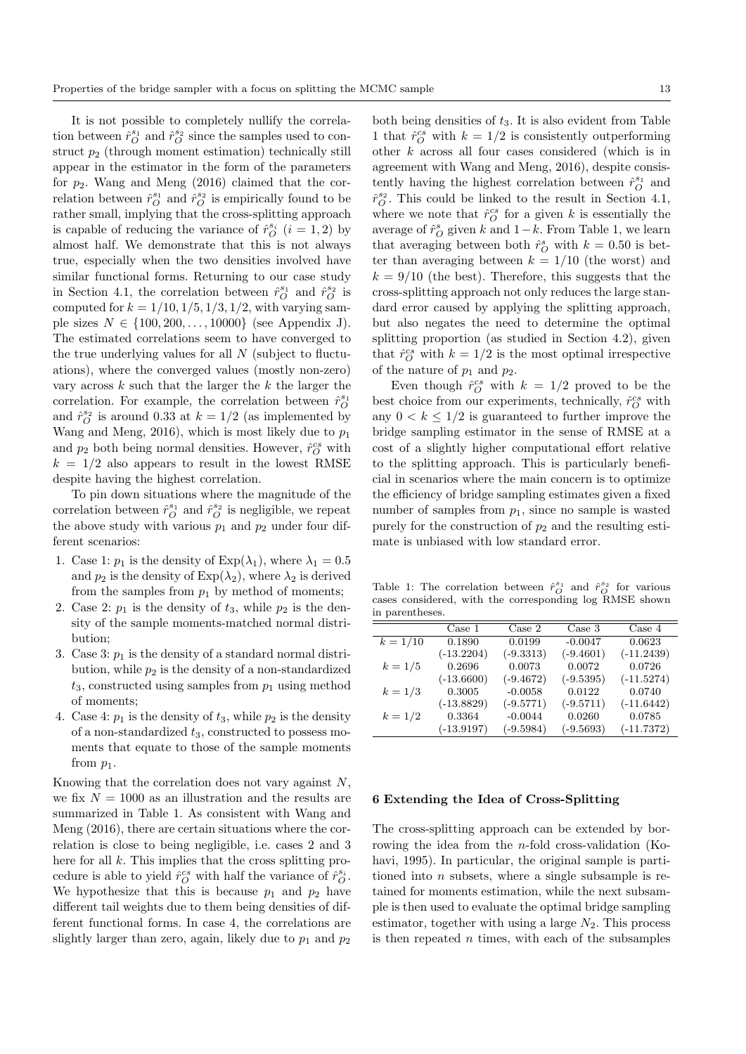It is not possible to completely nullify the correlation between  $\hat{r}_{O}^{s_1}$  and  $\hat{r}_{O}^{s_2}$  since the samples used to construct  $p_2$  (through moment estimation) technically still appear in the estimator in the form of the parameters for  $p_2$ . Wang and Meng (2016) claimed that the correlation between  $\hat{r}_{O}^{s_1}$  and  $\hat{r}_{O}^{s_2}$  is empirically found to be rather small, implying that the cross-splitting approach is capable of reducing the variance of  $\hat{r}_{O}^{s_i}$   $(i = 1, 2)$  by almost half. We demonstrate that this is not always true, especially when the two densities involved have similar functional forms. Returning to our case study in Section 4.1, the correlation between  $\hat{r}_O^{s_1}$  and  $\hat{r}_O^{s_2}$  is computed for  $k = 1/10, 1/5, 1/3, 1/2$ , with varying sample sizes  $N \in \{100, 200, ..., 10000\}$  (see Appendix J). The estimated correlations seem to have converged to the true underlying values for all  $N$  (subject to fluctuations), where the converged values (mostly non-zero) vary across  $k$  such that the larger the  $k$  the larger the correlation. For example, the correlation between  $\hat{r}_O^{s_1}$ and  $\hat{r}_O^{s_2}$  is around 0.33 at  $k = 1/2$  (as implemented by Wang and Meng, 2016), which is most likely due to  $p_1$ and  $p_2$  both being normal densities. However,  $\hat{r}_O^{cs}$  with  $k = 1/2$  also appears to result in the lowest RMSE despite having the highest correlation.

To pin down situations where the magnitude of the correlation between  $\hat{r}_{O}^{s_1}$  and  $\hat{r}_{O}^{s_2}$  is negligible, we repeat the above study with various  $p_1$  and  $p_2$  under four different scenarios:

- 1. Case 1:  $p_1$  is the density of  $Exp(\lambda_1)$ , where  $\lambda_1 = 0.5$ and  $p_2$  is the density of  $Exp(\lambda_2)$ , where  $\lambda_2$  is derived from the samples from  $p_1$  by method of moments;
- 2. Case 2:  $p_1$  is the density of  $t_3$ , while  $p_2$  is the density of the sample moments-matched normal distribution;
- 3. Case 3:  $p_1$  is the density of a standard normal distribution, while  $p_2$  is the density of a non-standardized  $t_3$ , constructed using samples from  $p_1$  using method of moments;
- 4. Case 4:  $p_1$  is the density of  $t_3$ , while  $p_2$  is the density of a non-standardized  $t_3$ , constructed to possess moments that equate to those of the sample moments from  $p_1$ .

Knowing that the correlation does not vary against  $N$ , we fix  $N = 1000$  as an illustration and the results are summarized in Table 1. As consistent with Wang and Meng (2016), there are certain situations where the correlation is close to being negligible, i.e. cases 2 and 3 here for all  $k$ . This implies that the cross splitting procedure is able to yield  $\hat{r}_{O}^{cs}$  with half the variance of  $\hat{r}_{O}^{s_i}$ . We hypothesize that this is because  $p_1$  and  $p_2$  have different tail weights due to them being densities of different functional forms. In case 4, the correlations are slightly larger than zero, again, likely due to  $p_1$  and  $p_2$ 

both being densities of  $t_3$ . It is also evident from Table 1 that  $\hat{r}_O^{cs}$  with  $k = 1/2$  is consistently outperforming other k across all four cases considered (which is in agreement with Wang and Meng, 2016), despite consistently having the highest correlation between  $\hat{r}_O^{s_1}$  and  $\hat{r}_O^{s_2}$ . This could be linked to the result in Section 4.1, where we note that  $\hat{r}_O^{cs}$  for a given k is essentially the average of  $\hat{r}_O^s$  given k and  $1-k$ . From Table 1, we learn that averaging between both  $\hat{r}_O^s$  with  $k = 0.50$  is better than averaging between  $k = 1/10$  (the worst) and  $k = 9/10$  (the best). Therefore, this suggests that the cross-splitting approach not only reduces the large standard error caused by applying the splitting approach, but also negates the need to determine the optimal splitting proportion (as studied in Section 4.2), given that  $\hat{r}_O^{cs}$  with  $k = 1/2$  is the most optimal irrespective of the nature of  $p_1$  and  $p_2$ .

Even though  $\hat{r}_O^{cs}$  with  $k = 1/2$  proved to be the best choice from our experiments, technically,  $\hat{r}_{O}^{cs}$  with any  $0 < k \leq 1/2$  is guaranteed to further improve the bridge sampling estimator in the sense of RMSE at a cost of a slightly higher computational effort relative to the splitting approach. This is particularly beneficial in scenarios where the main concern is to optimize the efficiency of bridge sampling estimates given a fixed number of samples from  $p_1$ , since no sample is wasted purely for the construction of  $p_2$  and the resulting estimate is unbiased with low standard error.

Table 1: The correlation between  $\hat{r}_{O}^{s_1}$  and  $\hat{r}_{O}^{s_2}$  for various cases considered, with the corresponding log RMSE shown in parentheses.

|            | Case 1       | Case 2      | Case 3      | Case 4       |
|------------|--------------|-------------|-------------|--------------|
| $k = 1/10$ | 0.1890       | 0.0199      | $-0.0047$   | 0.0623       |
|            | $(-13.2204)$ | $(-9.3313)$ | $(-9.4601)$ | $(-11.2439)$ |
| $k = 1/5$  | 0.2696       | 0.0073      | 0.0072      | 0.0726       |
|            | $(-13.6600)$ | $(-9.4672)$ | $(-9.5395)$ | $(-11.5274)$ |
| $k = 1/3$  | 0.3005       | $-0.0058$   | 0.0122      | 0.0740       |
|            | $(-13.8829)$ | $(-9.5771)$ | $(-9.5711)$ | $(-11.6442)$ |
| $k = 1/2$  | 0.3364       | $-0.0044$   | 0.0260      | 0.0785       |
|            | $(-13.9197)$ | $(-9.5984)$ | $(-9.5693)$ | $(-11.7372)$ |

### 6 Extending the Idea of Cross-Splitting

The cross-splitting approach can be extended by borrowing the idea from the n-fold cross-validation (Kohavi, 1995). In particular, the original sample is partitioned into  $n$  subsets, where a single subsample is retained for moments estimation, while the next subsample is then used to evaluate the optimal bridge sampling estimator, together with using a large  $N_2$ . This process is then repeated  $n$  times, with each of the subsamples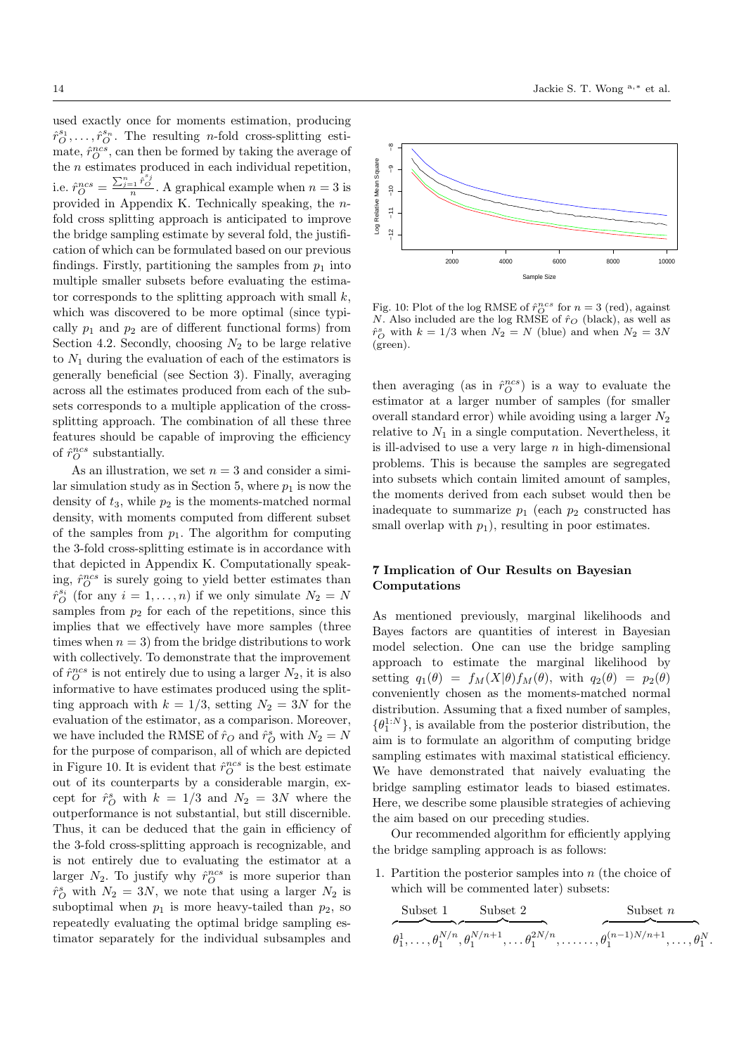used exactly once for moments estimation, producing  $\hat{r}_{O}^{s_1}, \ldots, \hat{r}_{O}^{s_n}$ . The resulting *n*-fold cross-splitting estimate,  $\hat{r}_O^{ncs}$ , can then be formed by taking the average of the n estimates produced in each individual repetition, i.e.  $\hat{r}_O^{ncs} = \frac{\sum_{j=1}^n \hat{r}_O^{s_j}}{n}$ . A graphical example when  $n = 3$  is provided in Appendix K. Technically speaking, the nfold cross splitting approach is anticipated to improve the bridge sampling estimate by several fold, the justification of which can be formulated based on our previous findings. Firstly, partitioning the samples from  $p_1$  into multiple smaller subsets before evaluating the estimator corresponds to the splitting approach with small  $k$ , which was discovered to be more optimal (since typically  $p_1$  and  $p_2$  are of different functional forms) from Section 4.2. Secondly, choosing  $N_2$  to be large relative to  $N_1$  during the evaluation of each of the estimators is generally beneficial (see Section 3). Finally, averaging across all the estimates produced from each of the subsets corresponds to a multiple application of the crosssplitting approach. The combination of all these three features should be capable of improving the efficiency of  $\hat{r}_O^{ncs}$  substantially.

As an illustration, we set  $n = 3$  and consider a similar simulation study as in Section 5, where  $p_1$  is now the density of  $t_3$ , while  $p_2$  is the moments-matched normal density, with moments computed from different subset of the samples from  $p_1$ . The algorithm for computing the 3-fold cross-splitting estimate is in accordance with that depicted in Appendix K. Computationally speaking,  $\hat{r}_O^{ncs}$  is surely going to yield better estimates than  $\hat{r}_{O}^{s_i}$  (for any  $i = 1, ..., n$ ) if we only simulate  $N_2 = N$ samples from  $p_2$  for each of the repetitions, since this implies that we effectively have more samples (three times when  $n = 3$ ) from the bridge distributions to work with collectively. To demonstrate that the improvement of  $\hat{r}_O^{ncs}$  is not entirely due to using a larger  $N_2$ , it is also informative to have estimates produced using the splitting approach with  $k = 1/3$ , setting  $N_2 = 3N$  for the evaluation of the estimator, as a comparison. Moreover, we have included the RMSE of  $\hat{r}_O$  and  $\hat{r}_O^s$  with  $N_2 = N$ for the purpose of comparison, all of which are depicted in Figure 10. It is evident that  $\hat{r}_O^{ncs}$  is the best estimate out of its counterparts by a considerable margin, except for  $\hat{r}_O^s$  with  $k = 1/3$  and  $N_2 = 3N$  where the outperformance is not substantial, but still discernible. Thus, it can be deduced that the gain in efficiency of the 3-fold cross-splitting approach is recognizable, and is not entirely due to evaluating the estimator at a larger  $N_2$ . To justify why  $\hat{r}_O^{ncs}$  is more superior than  $\hat{r}_O^s$  with  $N_2 = 3N$ , we note that using a larger  $N_2$  is suboptimal when  $p_1$  is more heavy-tailed than  $p_2$ , so repeatedly evaluating the optimal bridge sampling estimator separately for the individual subsamples and





Fig. 10: Plot of the log RMSE of  $\hat{r}_O^{ncs}$  for  $n=3$  (red), against N. Also included are the log RMSE of  $\hat{r}_O$  (black), as well as  $\hat{r}_O^s$  with  $k = 1/3$  when  $N_2 = N$  (blue) and when  $N_2 = 3N$ (green).

then averaging (as in  $\hat{r}_O^{ncs}$ ) is a way to evaluate the estimator at a larger number of samples (for smaller overall standard error) while avoiding using a larger  $N_2$ relative to  $N_1$  in a single computation. Nevertheless, it is ill-advised to use a very large  $n$  in high-dimensional problems. This is because the samples are segregated into subsets which contain limited amount of samples, the moments derived from each subset would then be inadequate to summarize  $p_1$  (each  $p_2$  constructed has small overlap with  $p_1$ ), resulting in poor estimates.

# 7 Implication of Our Results on Bayesian Computations

As mentioned previously, marginal likelihoods and Bayes factors are quantities of interest in Bayesian model selection. One can use the bridge sampling approach to estimate the marginal likelihood by setting  $q_1(\theta) = f_M(X|\theta) f_M(\theta)$ , with  $q_2(\theta) = p_2(\theta)$ conveniently chosen as the moments-matched normal distribution. Assuming that a fixed number of samples,  $\{\theta_1^{1:N}\}$ , is available from the posterior distribution, the aim is to formulate an algorithm of computing bridge sampling estimates with maximal statistical efficiency. We have demonstrated that naively evaluating the bridge sampling estimator leads to biased estimates. Here, we describe some plausible strategies of achieving the aim based on our preceding studies.

Our recommended algorithm for efficiently applying the bridge sampling approach is as follows:

1. Partition the posterior samples into n (the choice of which will be commented later) subsets:

$$
\overbrace{\theta_1^1,\ldots,\theta_1^{N/n},\theta_1^{N/n+1},\ldots\theta_1^{2N/n}}^{\text{Subset } 2}, \overbrace{\theta_1^{(\text{n}-1)N/n+1},\ldots,\theta_1^{N/n+1},\ldots,\theta_1^{N/n}}
$$

.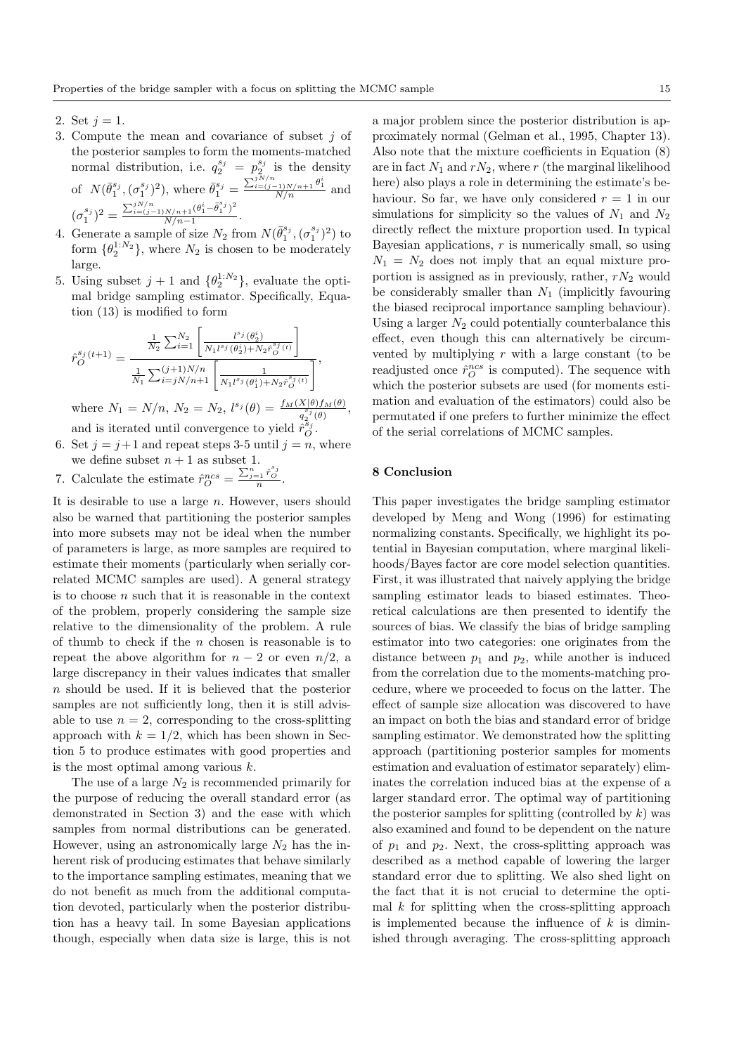- 2. Set  $j = 1$ .
- 3. Compute the mean and covariance of subset j of the posterior samples to form the moments-matched normal distribution, i.e.  $q_2^{s_j} = p_2^{s_j}$  is the density of  $N(\bar{\theta}_1^{s_j},(\sigma_1^{s_j})^2)$ , where  $\bar{\theta}_1^{s_j} = \frac{\sum_{i=(j-1)N/n+1}^{jN/n} \theta_1^i}{N/n}$  and  $(\sigma_1^{s_j})^2 = \frac{\sum_{i=(j-1)N/n+1}^{jN/n} (\theta_1^i - \overline{\theta}_1^{s_j})^2}{N/n-1}$  $\frac{N/n+1}{N/n-1}$ .
- 4. Generate a sample of size  $N_2$  from  $N(\bar{\theta}_1^{s_j}, (\sigma_1^{s_j})^2)$  to form  $\{\theta_2^{1:N_2}\}\$ , where  $N_2$  is chosen to be moderately large.
- 5. Using subset  $j + 1$  and  $\{\theta_2^{1:N_2}\}\$ , evaluate the optimal bridge sampling estimator. Specifically, Equation (13) is modified to form

$$
\hat{r}_{O}^{s_j(t+1)} = \frac{\frac{1}{N_2} \sum_{i=1}^{N_2} \left[ \frac{l^{s_j}(\theta_2^i)}{N_1 l^{s_j}(\theta_2^i) + N_2 \hat{r}_{O}^{s_j(t)}} \right]}{\frac{1}{N_1} \sum_{i=j}^{(j+1)N/n} \left[ \frac{1}{N_1 l^{s_j}(\theta_1^i) + N_2 \hat{r}_{O}^{s_j(t)}} \right]},
$$
\nwhere  $N_1 = N/n$ ,  $N_2 = N_2$ ,  $l^{s_j}(\theta) = \frac{f_M(X|\theta) f_M(\theta)}{q_2^{s_j}(\theta)}$ 

and is iterated until convergence to yield  $\hat{r}_{O}^{s_j}$ .

- 6. Set  $j = j+1$  and repeat steps 3-5 until  $j = n$ , where we define subset  $n + 1$  as subset 1.
- 7. Calculate the estimate  $\hat{r}_O^{ncs} = \frac{\sum_{j=1}^n \hat{r}_O^{s_j}}{n}$ .

It is desirable to use a large  $n$ . However, users should also be warned that partitioning the posterior samples into more subsets may not be ideal when the number of parameters is large, as more samples are required to estimate their moments (particularly when serially correlated MCMC samples are used). A general strategy is to choose  $n$  such that it is reasonable in the context of the problem, properly considering the sample size relative to the dimensionality of the problem. A rule of thumb to check if the  $n$  chosen is reasonable is to repeat the above algorithm for  $n-2$  or even  $n/2$ , a large discrepancy in their values indicates that smaller n should be used. If it is believed that the posterior samples are not sufficiently long, then it is still advisable to use  $n = 2$ , corresponding to the cross-splitting approach with  $k = 1/2$ , which has been shown in Section 5 to produce estimates with good properties and is the most optimal among various  $k$ .

The use of a large  $N_2$  is recommended primarily for the purpose of reducing the overall standard error (as demonstrated in Section 3) and the ease with which samples from normal distributions can be generated. However, using an astronomically large  $N_2$  has the inherent risk of producing estimates that behave similarly to the importance sampling estimates, meaning that we do not benefit as much from the additional computation devoted, particularly when the posterior distribution has a heavy tail. In some Bayesian applications though, especially when data size is large, this is not

a major problem since the posterior distribution is approximately normal (Gelman et al., 1995, Chapter 13). Also note that the mixture coefficients in Equation (8) are in fact  $N_1$  and  $rN_2$ , where r (the marginal likelihood here) also plays a role in determining the estimate's behaviour. So far, we have only considered  $r = 1$  in our simulations for simplicity so the values of  $N_1$  and  $N_2$ directly reflect the mixture proportion used. In typical Bayesian applications,  $r$  is numerically small, so using  $N_1 = N_2$  does not imply that an equal mixture proportion is assigned as in previously, rather,  $rN_2$  would be considerably smaller than  $N_1$  (implicitly favouring the biased reciprocal importance sampling behaviour). Using a larger  $N_2$  could potentially counterbalance this effect, even though this can alternatively be circumvented by multiplying  $r$  with a large constant (to be readjusted once  $\hat{r}_O^{ncs}$  is computed). The sequence with which the posterior subsets are used (for moments estimation and evaluation of the estimators) could also be permutated if one prefers to further minimize the effect of the serial correlations of MCMC samples.

# 8 Conclusion

,

This paper investigates the bridge sampling estimator developed by Meng and Wong (1996) for estimating normalizing constants. Specifically, we highlight its potential in Bayesian computation, where marginal likelihoods/Bayes factor are core model selection quantities. First, it was illustrated that naively applying the bridge sampling estimator leads to biased estimates. Theoretical calculations are then presented to identify the sources of bias. We classify the bias of bridge sampling estimator into two categories: one originates from the distance between  $p_1$  and  $p_2$ , while another is induced from the correlation due to the moments-matching procedure, where we proceeded to focus on the latter. The effect of sample size allocation was discovered to have an impact on both the bias and standard error of bridge sampling estimator. We demonstrated how the splitting approach (partitioning posterior samples for moments estimation and evaluation of estimator separately) eliminates the correlation induced bias at the expense of a larger standard error. The optimal way of partitioning the posterior samples for splitting (controlled by  $k$ ) was also examined and found to be dependent on the nature of  $p_1$  and  $p_2$ . Next, the cross-splitting approach was described as a method capable of lowering the larger standard error due to splitting. We also shed light on the fact that it is not crucial to determine the optimal  $k$  for splitting when the cross-splitting approach is implemented because the influence of  $k$  is diminished through averaging. The cross-splitting approach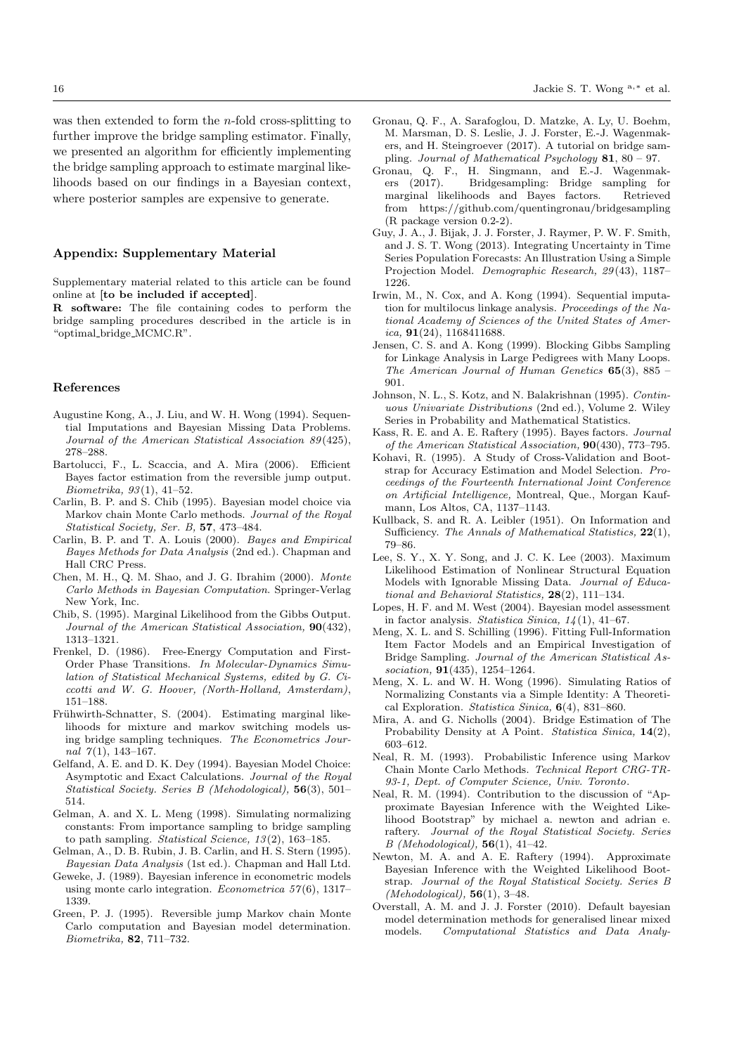was then extended to form the  $n$ -fold cross-splitting to further improve the bridge sampling estimator. Finally, we presented an algorithm for efficiently implementing the bridge sampling approach to estimate marginal likelihoods based on our findings in a Bayesian context, where posterior samples are expensive to generate.

## Appendix: Supplementary Material

Supplementary material related to this article can be found online at [to be included if accepted].

R software: The file containing codes to perform the bridge sampling procedures described in the article is in "optimal bridge MCMC.R".

### References

- Augustine Kong, A., J. Liu, and W. H. Wong (1994). Sequential Imputations and Bayesian Missing Data Problems. Journal of the American Statistical Association 89 (425), 278–288.
- Bartolucci, F., L. Scaccia, and A. Mira (2006). Efficient Bayes factor estimation from the reversible jump output. Biometrika, 93 (1), 41–52.
- Carlin, B. P. and S. Chib (1995). Bayesian model choice via Markov chain Monte Carlo methods. Journal of the Royal Statistical Society, Ser. B, 57, 473–484.
- Carlin, B. P. and T. A. Louis (2000). Bayes and Empirical Bayes Methods for Data Analysis (2nd ed.). Chapman and Hall CRC Press.
- Chen, M. H., Q. M. Shao, and J. G. Ibrahim (2000). Monte Carlo Methods in Bayesian Computation. Springer-Verlag New York, Inc.
- Chib, S. (1995). Marginal Likelihood from the Gibbs Output. Journal of the American Statistical Association,  $90(432)$ , 1313–1321.
- Frenkel, D. (1986). Free-Energy Computation and First-Order Phase Transitions. In Molecular-Dynamics Simulation of Statistical Mechanical Systems, edited by G. Ciccotti and W. G. Hoover, (North-Holland, Amsterdam), 151–188.
- Frühwirth-Schnatter, S. (2004). Estimating marginal likelihoods for mixture and markov switching models using bridge sampling techniques. The Econometrics Journal  $7(1)$ , 143-167.
- Gelfand, A. E. and D. K. Dey (1994). Bayesian Model Choice: Asymptotic and Exact Calculations. Journal of the Royal Statistical Society. Series B (Mehodological), 56(3), 501– 514.
- Gelman, A. and X. L. Meng (1998). Simulating normalizing constants: From importance sampling to bridge sampling to path sampling. Statistical Science,  $13(2)$ , 163-185.
- Gelman, A., D. B. Rubin, J. B. Carlin, and H. S. Stern (1995). Bayesian Data Analysis (1st ed.). Chapman and Hall Ltd.
- Geweke, J. (1989). Bayesian inference in econometric models using monte carlo integration. *Econometrica*  $57(6)$ , 1317– 1339.
- Green, P. J. (1995). Reversible jump Markov chain Monte Carlo computation and Bayesian model determination. Biometrika, 82, 711–732.
- Gronau, Q. F., A. Sarafoglou, D. Matzke, A. Ly, U. Boehm, M. Marsman, D. S. Leslie, J. J. Forster, E.-J. Wagenmakers, and H. Steingroever (2017). A tutorial on bridge sampling. Journal of Mathematical Psychology  $81, 80 - 97$ .
- Gronau, Q. F., H. Singmann, and E.-J. Wagenmak-Bridgesampling: Bridge sampling for marginal likelihoods and Bayes factors. Retrieved from https://github.com/quentingronau/bridgesampling (R package version 0.2-2).
- Guy, J. A., J. Bijak, J. J. Forster, J. Raymer, P. W. F. Smith, and J. S. T. Wong (2013). Integrating Uncertainty in Time Series Population Forecasts: An Illustration Using a Simple Projection Model. Demographic Research, 29 (43), 1187– 1226.
- Irwin, M., N. Cox, and A. Kong (1994). Sequential imputation for multilocus linkage analysis. Proceedings of the National Academy of Sciences of the United States of America, 91(24), 1168411688.
- Jensen, C. S. and A. Kong (1999). Blocking Gibbs Sampling for Linkage Analysis in Large Pedigrees with Many Loops. The American Journal of Human Genetics  $65(3)$ ,  $885 -$ 901.
- Johnson, N. L., S. Kotz, and N. Balakrishnan (1995). Continuous Univariate Distributions (2nd ed.), Volume 2. Wiley Series in Probability and Mathematical Statistics.
- Kass, R. E. and A. E. Raftery (1995). Bayes factors. Journal of the American Statistical Association, 90(430), 773–795.
- Kohavi, R. (1995). A Study of Cross-Validation and Bootstrap for Accuracy Estimation and Model Selection. Proceedings of the Fourteenth International Joint Conference on Artificial Intelligence, Montreal, Que., Morgan Kaufmann, Los Altos, CA, 1137–1143.
- Kullback, S. and R. A. Leibler (1951). On Information and Sufficiency. The Annals of Mathematical Statistics, 22(1), 79–86.
- Lee, S. Y., X. Y. Song, and J. C. K. Lee (2003). Maximum Likelihood Estimation of Nonlinear Structural Equation Models with Ignorable Missing Data. Journal of Educational and Behavioral Statistics, 28(2), 111–134.
- Lopes, H. F. and M. West (2004). Bayesian model assessment in factor analysis. Statistica Sinica,  $14(1)$ ,  $41-67$ .
- Meng, X. L. and S. Schilling (1996). Fitting Full-Information Item Factor Models and an Empirical Investigation of Bridge Sampling. Journal of the American Statistical Association, **91**(435), 1254-1264.
- Meng, X. L. and W. H. Wong (1996). Simulating Ratios of Normalizing Constants via a Simple Identity: A Theoretical Exploration. Statistica Sinica, 6(4), 831–860.
- Mira, A. and G. Nicholls (2004). Bridge Estimation of The Probability Density at A Point. Statistica Sinica, 14(2), 603–612.
- Neal, R. M. (1993). Probabilistic Inference using Markov Chain Monte Carlo Methods. Technical Report CRG-TR-93-1, Dept. of Computer Science, Univ. Toronto.
- Neal, R. M. (1994). Contribution to the discussion of "Approximate Bayesian Inference with the Weighted Likelihood Bootstrap" by michael a. newton and adrian e. raftery. Journal of the Royal Statistical Society. Series  $B$  (Mehodological), **56**(1), 41–42.
- Newton, M. A. and A. E. Raftery (1994). Approximate Bayesian Inference with the Weighted Likelihood Bootstrap. Journal of the Royal Statistical Society. Series B (Mehodological),  $56(1)$ ,  $3-48$ .
- Overstall, A. M. and J. J. Forster (2010). Default bayesian model determination methods for generalised linear mixed models. Computational Statistics and Data Analy-